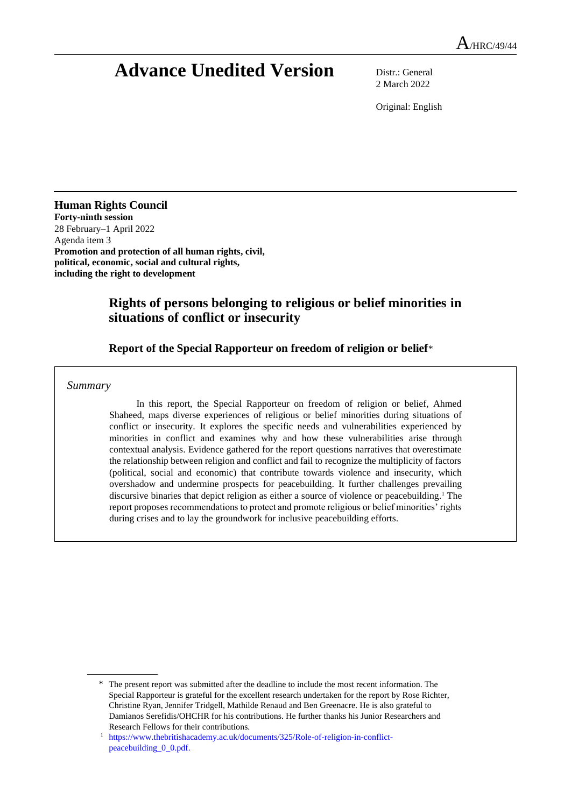# **Advance Unedited Version** Distr.: General

2 March 2022

Original: English

**Human Rights Council Forty-ninth session** 28 February–1 April 2022 Agenda item 3 **Promotion and protection of all human rights, civil, political, economic, social and cultural rights, including the right to development** 

# **Rights of persons belonging to religious or belief minorities in situations of conflict or insecurity**

### **Report of the Special Rapporteur on freedom of religion or belief**\*

*Summary*

In this report, the Special Rapporteur on freedom of religion or belief, Ahmed Shaheed, maps diverse experiences of religious or belief minorities during situations of conflict or insecurity. It explores the specific needs and vulnerabilities experienced by minorities in conflict and examines why and how these vulnerabilities arise through contextual analysis. Evidence gathered for the report questions narratives that overestimate the relationship between religion and conflict and fail to recognize the multiplicity of factors (political, social and economic) that contribute towards violence and insecurity, which overshadow and undermine prospects for peacebuilding. It further challenges prevailing discursive binaries that depict religion as either a source of violence or peacebuilding.<sup>1</sup> The report proposes recommendations to protect and promote religious or belief minorities' rights during crises and to lay the groundwork for inclusive peacebuilding efforts.

<sup>\*</sup> The present report was submitted after the deadline to include the most recent information. The Special Rapporteur is grateful for the excellent research undertaken for the report by Rose Richter, Christine Ryan, Jennifer Tridgell, Mathilde Renaud and Ben Greenacre. He is also grateful to Damianos Serefidis/OHCHR for his contributions. He further thanks his Junior Researchers and Research Fellows for their contributions.

<sup>1</sup> [https://www.thebritishacademy.ac.uk/documents/325/Role-of-religion-in-conflict](https://www.thebritishacademy.ac.uk/documents/325/Role-of-religion-in-conflict-peacebuilding_0_0.pdf)[peacebuilding\\_0\\_0.pdf.](https://www.thebritishacademy.ac.uk/documents/325/Role-of-religion-in-conflict-peacebuilding_0_0.pdf)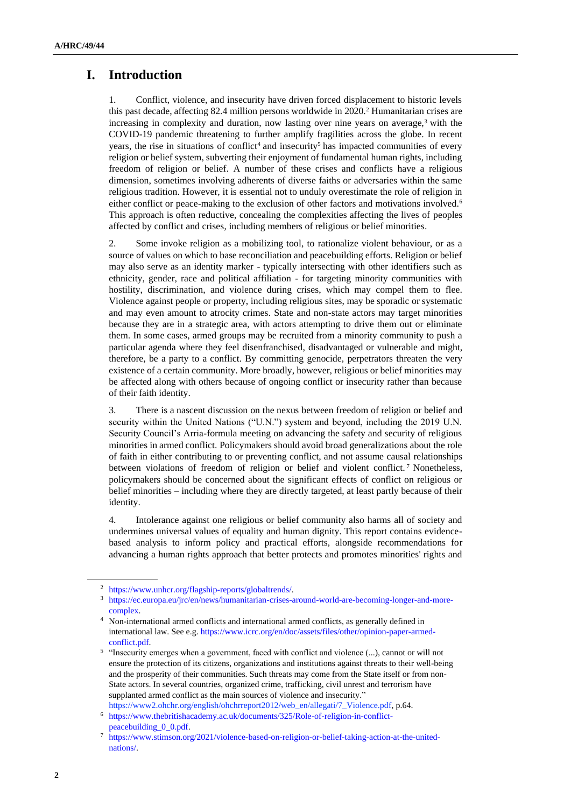# **I. Introduction**

1. Conflict, violence, and insecurity have driven forced displacement to historic levels this past decade, affecting 82.4 million persons worldwide in 2020.<sup>2</sup> Humanitarian crises are increasing in complexity and duration, now lasting over nine years on average, $3$  with the COVID-19 pandemic threatening to further amplify fragilities across the globe. In recent years, the rise in situations of conflict<sup>4</sup> and insecurity<sup>5</sup> has impacted communities of every religion or belief system, subverting their enjoyment of fundamental human rights, including freedom of religion or belief. A number of these crises and conflicts have a religious dimension, sometimes involving adherents of diverse faiths or adversaries within the same religious tradition. However, it is essential not to unduly overestimate the role of religion in either conflict or peace-making to the exclusion of other factors and motivations involved.<sup>6</sup> This approach is often reductive, concealing the complexities affecting the lives of peoples affected by conflict and crises, including members of religious or belief minorities.

2. Some invoke religion as a mobilizing tool, to rationalize violent behaviour, or as a source of values on which to base reconciliation and peacebuilding efforts. Religion or belief may also serve as an identity marker - typically intersecting with other identifiers such as ethnicity, gender, race and political affiliation - for targeting minority communities with hostility, discrimination, and violence during crises, which may compel them to flee. Violence against people or property, including religious sites, may be sporadic or systematic and may even amount to atrocity crimes. State and non-state actors may target minorities because they are in a strategic area, with actors attempting to drive them out or eliminate them. In some cases, armed groups may be recruited from a minority community to push a particular agenda where they feel disenfranchised, disadvantaged or vulnerable and might, therefore, be a party to a conflict. By committing genocide, perpetrators threaten the very existence of a certain community. More broadly, however, religious or belief minorities may be affected along with others because of ongoing conflict or insecurity rather than because of their faith identity.

3. There is a nascent discussion on the nexus between freedom of religion or belief and security within the United Nations ("U.N.") system and beyond, including the 2019 U.N. Security Council's Arria-formula meeting on advancing the safety and security of religious minorities in armed conflict. Policymakers should avoid broad generalizations about the role of faith in either contributing to or preventing conflict, and not assume causal relationships between violations of freedom of religion or belief and violent conflict.<sup>7</sup> Nonetheless, policymakers should be concerned about the significant effects of conflict on religious or belief minorities – including where they are directly targeted, at least partly because of their identity.

4. Intolerance against one religious or belief community also harms all of society and undermines universal values of equality and human dignity. This report contains evidencebased analysis to inform policy and practical efforts, alongside recommendations for advancing a human rights approach that better protects and promotes minorities' rights and

<sup>2</sup> [https://www.unhcr.org/flagship-reports/globaltrends/.](https://www.unhcr.org/flagship-reports/globaltrends/)

<sup>3</sup> [https://ec.europa.eu/jrc/en/news/humanitarian-crises-around-world-are-becoming-longer-and-more](https://ec.europa.eu/jrc/en/news/humanitarian-crises-around-world-are-becoming-longer-and-more-complex)[complex.](https://ec.europa.eu/jrc/en/news/humanitarian-crises-around-world-are-becoming-longer-and-more-complex)

<sup>4</sup> Non-international armed conflicts and international armed conflicts, as generally defined in international law. See e.g[. https://www.icrc.org/en/doc/assets/files/other/opinion-paper-armed](https://www.icrc.org/en/doc/assets/files/other/opinion-paper-armed-conflict.pdf)[conflict.pdf.](https://www.icrc.org/en/doc/assets/files/other/opinion-paper-armed-conflict.pdf)

<sup>&</sup>lt;sup>5</sup> "Insecurity emerges when a government, faced with conflict and violence (...), cannot or will not ensure the protection of its citizens, organizations and institutions against threats to their well-being and the prosperity of their communities. Such threats may come from the State itself or from non-State actors. In several countries, organized crime, trafficking, civil unrest and terrorism have supplanted armed conflict as the main sources of violence and insecurity." https://www2.ohchr.org/english/ohchrreport2012/web\_en/allegati/7\_Violence.pdf, p.64.

<sup>6</sup> [https://www.thebritishacademy.ac.uk/documents/325/Role-of-religion-in-conflict](https://www.thebritishacademy.ac.uk/documents/325/Role-of-religion-in-conflict-peacebuilding_0_0.pdf)[peacebuilding\\_0\\_0.pdf.](https://www.thebritishacademy.ac.uk/documents/325/Role-of-religion-in-conflict-peacebuilding_0_0.pdf)

<sup>7</sup> [https://www.stimson.org/2021/violence-based-on-religion-or-belief-taking-action-at-the-united](https://www.stimson.org/2021/violence-based-on-religion-or-belief-taking-action-at-the-united-nations/)[nations/.](https://www.stimson.org/2021/violence-based-on-religion-or-belief-taking-action-at-the-united-nations/)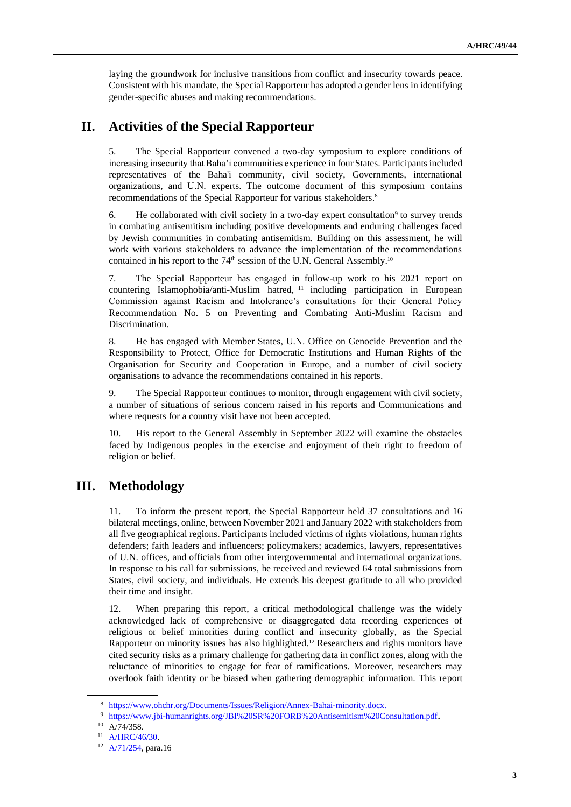laying the groundwork for inclusive transitions from conflict and insecurity towards peace. Consistent with his mandate, the Special Rapporteur has adopted a gender lens in identifying gender-specific abuses and making recommendations.

## **II. Activities of the Special Rapporteur**

5. The Special Rapporteur convened a two-day symposium to explore conditions of increasing insecurity that Baha'i communities experience in four States. Participants included representatives of the Baha'i community, civil society, Governments, international organizations, and U.N. experts. The outcome document of this symposium contains recommendations of the Special Rapporteur for various stakeholders.<sup>8</sup>

6. He collaborated with civil society in a two-day expert consultation<sup>9</sup> to survey trends in combating antisemitism including positive developments and enduring challenges faced by Jewish communities in combating antisemitism. Building on this assessment, he will work with various stakeholders to advance the implementation of the recommendations contained in his report to the  $74<sup>th</sup>$  session of the U.N. General Assembly.<sup>10</sup>

7. The Special Rapporteur has engaged in follow-up work to his 2021 report on countering Islamophobia/anti-Muslim hatred, <sup>11</sup> including participation in European Commission against Racism and Intolerance's consultations for their General Policy Recommendation No. 5 on Preventing and Combating Anti-Muslim Racism and Discrimination.

8. He has engaged with Member States, U.N. Office on Genocide Prevention and the Responsibility to Protect, Office for Democratic Institutions and Human Rights of the Organisation for Security and Cooperation in Europe, and a number of civil society organisations to advance the recommendations contained in his reports.

9. The Special Rapporteur continues to monitor, through engagement with civil society, a number of situations of serious concern raised in his reports and Communications and where requests for a country visit have not been accepted.

10. His report to the General Assembly in September 2022 will examine the obstacles faced by Indigenous peoples in the exercise and enjoyment of their right to freedom of religion or belief.

# **III. Methodology**

11. To inform the present report, the Special Rapporteur held 37 consultations and 16 bilateral meetings, online, between November 2021 and January 2022 with stakeholders from all five geographical regions. Participants included victims of rights violations, human rights defenders; faith leaders and influencers; policymakers; academics, lawyers, representatives of U.N. offices, and officials from other intergovernmental and international organizations. In response to his call for submissions, he received and reviewed 64 total submissions from States, civil society, and individuals. He extends his deepest gratitude to all who provided their time and insight.

12. When preparing this report, a critical methodological challenge was the widely acknowledged lack of comprehensive or disaggregated data recording experiences of religious or belief minorities during conflict and insecurity globally, as the Special Rapporteur on minority issues has also highlighted.<sup>12</sup> Researchers and rights monitors have cited security risks as a primary challenge for gathering data in conflict zones, along with the reluctance of minorities to engage for fear of ramifications. Moreover, researchers may overlook faith identity or be biased when gathering demographic information. This report

<sup>8</sup> [https://www.ohchr.org/Documents/Issues/Religion/Annex-Bahai-minority.docx.](https://www.ohchr.org/Documents/Issues/Religion/Annex-Bahai-minority.docx)

<sup>9</sup> <https://www.jbi-humanrights.org/JBI%20SR%20FORB%20Antisemitism%20Consultation.pdf>.

 $10$  A/74/358.

<sup>11</sup> [A/HRC/46/30.](https://www.ohchr.org/EN/Issues/FreedomReligion/Pages/Annual.aspx)

<sup>12</sup> [A/71/254,](https://undocs.org/Home/Mobile?FinalSymbol=A%2FRES%2F71%2F254&Language=E&DeviceType=Desktop) para.16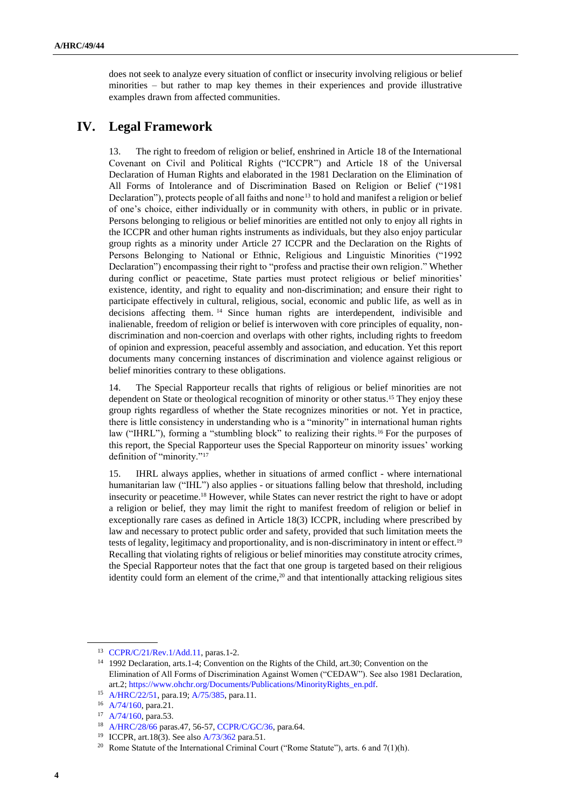does not seek to analyze every situation of conflict or insecurity involving religious or belief minorities – but rather to map key themes in their experiences and provide illustrative examples drawn from affected communities.

# **IV. Legal Framework**

13. The right to freedom of religion or belief, enshrined in Article 18 of the International Covenant on Civil and Political Rights ("ICCPR") and Article 18 of the Universal Declaration of Human Rights and elaborated in the 1981 Declaration on the Elimination of All Forms of Intolerance and of Discrimination Based on Religion or Belief ("1981 Declaration"), protects people of all faiths and none<sup>13</sup> to hold and manifest a religion or belief of one's choice, either individually or in community with others, in public or in private. Persons belonging to religious or belief minorities are entitled not only to enjoy all rights in the ICCPR and other human rights instruments as individuals, but they also enjoy particular group rights as a minority under Article 27 ICCPR and the Declaration on the Rights of Persons Belonging to National or Ethnic, Religious and Linguistic Minorities ("1992 Declaration") encompassing their right to "profess and practise their own religion." Whether during conflict or peacetime, State parties must protect religious or belief minorities' existence, identity, and right to equality and non-discrimination; and ensure their right to participate effectively in cultural, religious, social, economic and public life, as well as in decisions affecting them. <sup>14</sup> Since human rights are interdependent, indivisible and inalienable, freedom of religion or belief is interwoven with core principles of equality, nondiscrimination and non-coercion and overlaps with other rights, including rights to freedom of opinion and expression, peaceful assembly and association, and education. Yet this report documents many concerning instances of discrimination and violence against religious or belief minorities contrary to these obligations.

14. The Special Rapporteur recalls that rights of religious or belief minorities are not dependent on State or theological recognition of minority or other status.<sup>15</sup> They enjoy these group rights regardless of whether the State recognizes minorities or not. Yet in practice, there is little consistency in understanding who is a "minority" in international human rights law ("IHRL"), forming a "stumbling block" to realizing their rights.<sup>16</sup> For the purposes of this report, the Special Rapporteur uses the Special Rapporteur on minority issues' working definition of "minority."<sup>17</sup>

15. IHRL always applies, whether in situations of armed conflict - where international humanitarian law ("IHL") also applies - or situations falling below that threshold, including insecurity or peacetime.<sup>18</sup> However, while States can never restrict the right to have or adopt a religion or belief, they may limit the right to manifest freedom of religion or belief in exceptionally rare cases as defined in Article 18(3) ICCPR, including where prescribed by law and necessary to protect public order and safety, provided that such limitation meets the tests of legality, legitimacy and proportionality, and is non-discriminatory in intent or effect.<sup>19</sup> Recalling that violating rights of religious or belief minorities may constitute atrocity crimes, the Special Rapporteur notes that the fact that one group is targeted based on their religious identity could form an element of the crime, $20$  and that intentionally attacking religious sites

<sup>13</sup> [CCPR/C/21/Rev.1/Add.11,](https://www.refworld.org/docid/453883fd1f.html) paras.1-2.

<sup>14</sup> 1992 Declaration, arts.1-4; Convention on the Rights of the Child, art.30; Convention on the Elimination of All Forms of Discrimination Against Women ("CEDAW"). See also 1981 Declaration, art.2[; https://www.ohchr.org/Documents/Publications/MinorityRights\\_en.pdf.](https://www.ohchr.org/Documents/Publications/MinorityRights_en.pdf)

<sup>15</sup> [A/HRC/22/51,](https://undocs.org/Home/Mobile?FinalSymbol=A%2FHRC%2F22%2F51&Language=E&DeviceType=Desktop) para.19; [A/75/385,](https://undocs.org/Home/Mobile?FinalSymbol=A%2F75%2F385&Language=E&DeviceType=Desktop) para.11.

<sup>16</sup> [A/74/160,](https://undocs.org/Home/Mobile?FinalSymbol=A%2F74%2F160&Language=E&DeviceType=Desktop) para.21.

<sup>17</sup> [A/74/160,](https://undocs.org/Home/Mobile?FinalSymbol=A%2F74%2F160&Language=E&DeviceType=Desktop) para.53.

<sup>18</sup> [A/HRC/28/66](https://undocs.org/Home/Mobile?FinalSymbol=A%2FHRC%2F28%2F66&Language=E&DeviceType=Desktop) paras.47, 56-57[, CCPR/C/GC/36,](https://www.refworld.org/docid/5e5e75e04.html) para.64.

<sup>19</sup> ICCPR, art.18(3). See als[o A/73/362](https://undocs.org/Home/Mobile?FinalSymbol=A%2F73%2F362&Language=E&DeviceType=Desktop) para.51.

<sup>&</sup>lt;sup>20</sup> Rome Statute of the International Criminal Court ("Rome Statute"), arts. 6 and  $7(1)(h)$ .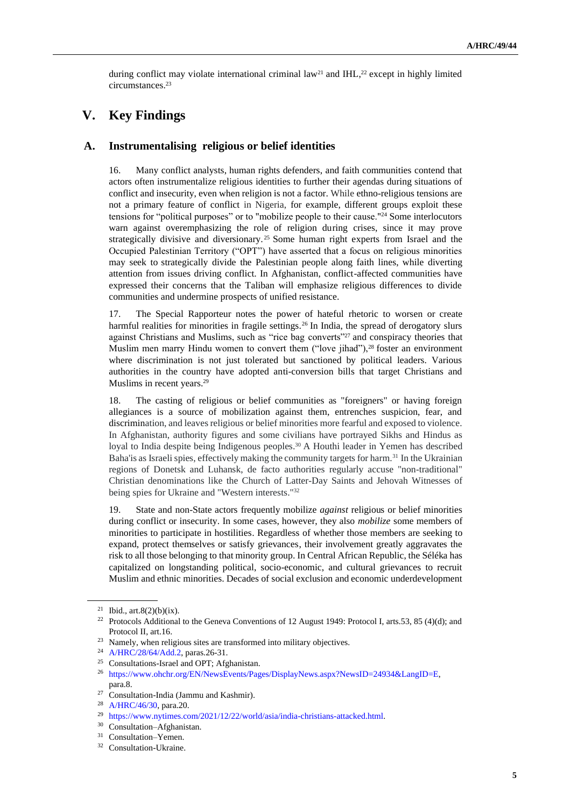during conflict may violate international criminal  $law<sup>21</sup>$  and IHL,<sup>22</sup> except in highly limited circumstances.<sup>23</sup>

# **V. Key Findings**

### **A. Instrumentalising religious or belief identities**

16. Many conflict analysts, human rights defenders, and faith communities contend that actors often instrumentalize religious identities to further their agendas during situations of conflict and insecurity, even when religion is not a factor. While ethno-religious tensions are not a primary feature of conflict in Nigeria, for example, different groups exploit these tensions for "political purposes" or to "mobilize people to their cause."<sup>24</sup> Some interlocutors warn against overemphasizing the role of religion during crises, since it may prove strategically divisive and diversionary. <sup>25</sup> Some human right experts from Israel and the Occupied Palestinian Territory ("OPT") have asserted that a focus on religious minorities may seek to strategically divide the Palestinian people along faith lines, while diverting attention from issues driving conflict. In Afghanistan, conflict-affected communities have expressed their concerns that the Taliban will emphasize religious differences to divide communities and undermine prospects of unified resistance.

17. The Special Rapporteur notes the power of hateful rhetoric to worsen or create harmful realities for minorities in fragile settings.<sup>26</sup> In India, the spread of derogatory slurs against Christians and Muslims, such as "rice bag converts"<sup>27</sup> and conspiracy theories that Muslim men marry Hindu women to convert them ("love jihad"),<sup>28</sup> foster an environment where discrimination is not just tolerated but sanctioned by political leaders. Various authorities in the country have adopted anti-conversion bills that target Christians and Muslims in recent years.<sup>29</sup>

18. The casting of religious or belief communities as "foreigners" or having foreign allegiances is a source of mobilization against them, entrenches suspicion, fear, and discrimination, and leaves religious or belief minorities more fearful and exposed to violence. In Afghanistan, authority figures and some civilians have portrayed Sikhs and Hindus as loyal to India despite being Indigenous peoples.<sup>30</sup> A Houthi leader in Yemen has described Baha'is as Israeli spies, effectively making the community targets for harm.<sup>31</sup> In the Ukrainian regions of Donetsk and Luhansk, de facto authorities regularly accuse "non-traditional" Christian denominations like the Church of Latter-Day Saints and Jehovah Witnesses of being spies for Ukraine and "Western interests."<sup>32</sup>

19. State and non-State actors frequently mobilize *against* religious or belief minorities during conflict or insecurity. In some cases, however, they also *mobilize* some members of minorities to participate in hostilities. Regardless of whether those members are seeking to expand, protect themselves or satisfy grievances, their involvement greatly aggravates the risk to all those belonging to that minority group. In Central African Republic, the Séléka has capitalized on longstanding political, socio-economic, and cultural grievances to recruit Muslim and ethnic minorities. Decades of social exclusion and economic underdevelopment

<sup>&</sup>lt;sup>21</sup> Ibid., art.8(2)(b)(ix).

<sup>&</sup>lt;sup>22</sup> Protocols Additional to the Geneva Conventions of 12 August 1949: Protocol I, arts.53, 85 (4)(d); and Protocol II, art.16.

<sup>&</sup>lt;sup>23</sup> Namely, when religious sites are transformed into military objectives.

<sup>24</sup> [A/HRC/28/64/Add.2,](https://spinternet.ohchr.org/Download.aspx?SymbolNo=A%2fHRC%2f28%2f64%2fAdd.2&Lang=en) paras.26-31.

<sup>25</sup> Consultations-Israel and OPT; Afghanistan.

<sup>26</sup> [https://www.ohchr.org/EN/NewsEvents/Pages/DisplayNews.aspx?NewsID=24934&LangID=E,](https://www.ohchr.org/EN/NewsEvents/Pages/DisplayNews.aspx?NewsID=24934&LangID=E)  para.8.

 $27$  Consultation-India (Jammu and Kashmir).

<sup>28</sup> [A/HRC/46/30,](https://undocs.org/Home/Mobile?FinalSymbol=A%2FHRC%2F46%2F30&Language=E&DeviceType=Desktop) para.20.

<sup>&</sup>lt;sup>29</sup> [https://www.nytimes.com/2021/12/22/world/asia/india-christians-attacked.html.](https://www.nytimes.com/2021/12/22/world/asia/india-christians-attacked.html)

<sup>30</sup> Consultation–Afghanistan.

<sup>&</sup>lt;sup>31</sup> Consultation–Yemen.

<sup>&</sup>lt;sup>32</sup> Consultation-Ukraine.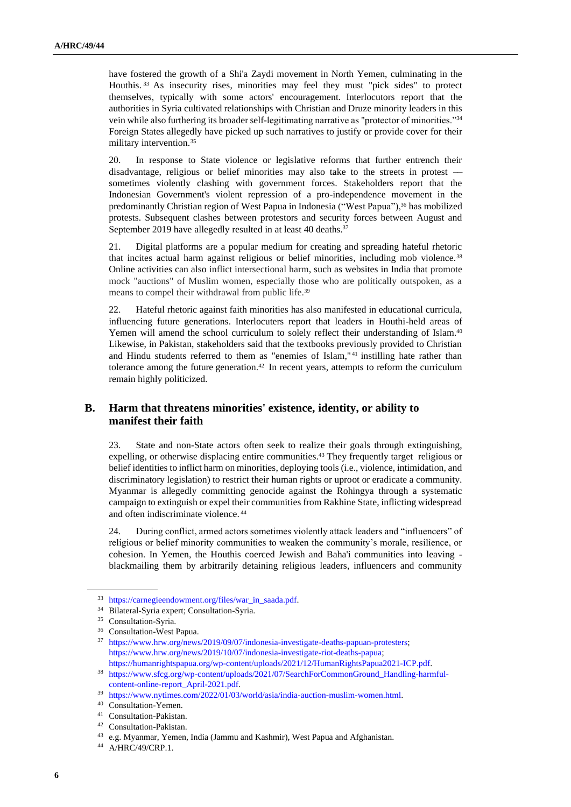have fostered the growth of a Shi'a Zaydi movement in North Yemen, culminating in the Houthis. <sup>33</sup> As insecurity rises, minorities may feel they must "pick sides" to protect themselves, typically with some actors' encouragement. Interlocutors report that the authorities in Syria cultivated relationships with Christian and Druze minority leaders in this vein while also furthering its broader self-legitimating narrative as "protector of minorities."<sup>34</sup> Foreign States allegedly have picked up such narratives to justify or provide cover for their military intervention.<sup>35</sup>

20. In response to State violence or legislative reforms that further entrench their disadvantage, religious or belief minorities may also take to the streets in protest –– sometimes violently clashing with government forces. Stakeholders report that the Indonesian Government's violent repression of a pro-independence movement in the predominantly Christian region of West Papua in Indonesia ("West Papua"),<sup>36</sup> has mobilized protests. Subsequent clashes between protestors and security forces between August and September 2019 have allegedly resulted in at least 40 deaths.<sup>37</sup>

21. Digital platforms are a popular medium for creating and spreading hateful rhetoric that incites actual harm against religious or belief minorities, including mob violence.<sup>38</sup> Online activities can also inflict intersectional harm, such as websites in India that promote mock "auctions" of Muslim women, especially those who are politically outspoken, as a means to compel their withdrawal from public life.<sup>39</sup>

22. Hateful rhetoric against faith minorities has also manifested in educational curricula, influencing future generations. Interlocuters report that leaders in Houthi-held areas of Yemen will amend the school curriculum to solely reflect their understanding of Islam.<sup>40</sup> Likewise, in Pakistan, stakeholders said that the textbooks previously provided to Christian and Hindu students referred to them as "enemies of Islam,"<sup>41</sup> instilling hate rather than tolerance among the future generation.<sup>42</sup> In recent years, attempts to reform the curriculum remain highly politicized.

### **B. Harm that threatens minorities' existence, identity, or ability to manifest their faith**

23. State and non-State actors often seek to realize their goals through extinguishing, expelling, or otherwise displacing entire communities.<sup>43</sup> They frequently target religious or belief identities to inflict harm on minorities, deploying tools (i.e., violence, intimidation, and discriminatory legislation) to restrict their human rights or uproot or eradicate a community. Myanmar is allegedly committing genocide against the Rohingya through a systematic campaign to extinguish or expel their communities from Rakhine State, inflicting widespread and often indiscriminate violence. <sup>44</sup>

24. During conflict, armed actors sometimes violently attack leaders and "influencers" of religious or belief minority communities to weaken the community's morale, resilience, or cohesion. In Yemen, the Houthis coerced Jewish and Baha'i communities into leaving blackmailing them by arbitrarily detaining religious leaders, influencers and community

<sup>33</sup> [https://carnegieendowment.org/files/war\\_in\\_saada.pdf.](https://carnegieendowment.org/files/war_in_saada.pdf) 

<sup>34</sup> Bilateral-Syria expert; Consultation-Syria.

<sup>&</sup>lt;sup>35</sup> Consultation-Syria.

<sup>36</sup> Consultation-West Papua.

<sup>37</sup> [https://www.hrw.org/news/2019/09/07/indonesia-investigate-deaths-papuan-protesters;](https://www.hrw.org/news/2019/09/07/indonesia-investigate-deaths-papuan-protesters) [https://www.hrw.org/news/2019/10/07/indonesia-investigate-riot-deaths-papua;](https://www.hrw.org/news/2019/10/07/indonesia-investigate-riot-deaths-papua) [https://humanrightspapua.org/wp-content/uploads/2021/12/HumanRightsPapua2021-ICP.pdf.](https://humanrightspapua.org/wp-content/uploads/2021/12/HumanRightsPapua2021-ICP.pdf)

<sup>38</sup> [https://www.sfcg.org/wp-content/uploads/2021/07/SearchForCommonGround\\_Handling-harmful](https://www.sfcg.org/wp-content/uploads/2021/07/SearchForCommonGround_Handling-harmful-content-online-report_April-2021.pdf)[content-online-report\\_April-2021.pdf.](https://www.sfcg.org/wp-content/uploads/2021/07/SearchForCommonGround_Handling-harmful-content-online-report_April-2021.pdf)

<sup>39</sup> [https://www.nytimes.com/2022/01/03/world/asia/india-auction-muslim-women.html.](https://www.nytimes.com/2022/01/03/world/asia/india-auction-muslim-women.html)

<sup>40</sup> Consultation-Yemen.

<sup>41</sup> Consultation-Pakistan.

<sup>42</sup> Consultation-Pakistan.

<sup>43</sup> e.g. Myanmar, Yemen, India (Jammu and Kashmir), West Papua and Afghanistan.

<sup>44</sup> A/HRC/49/CRP.1.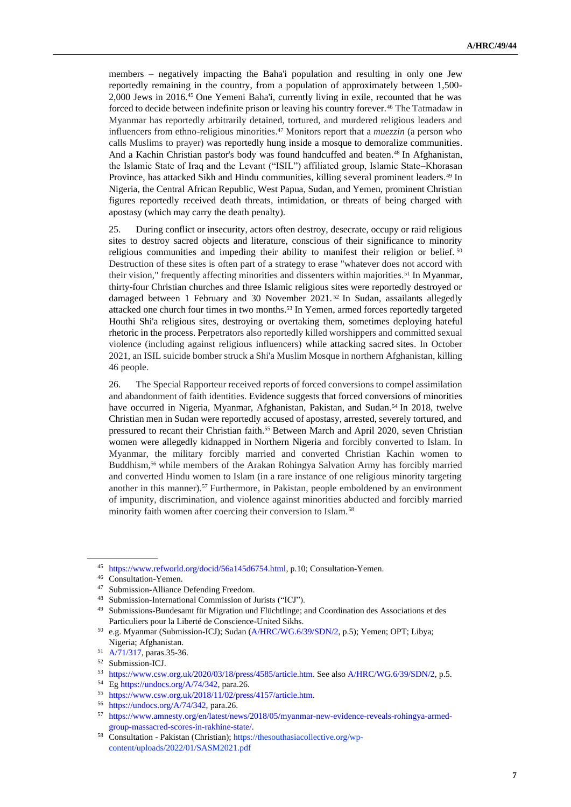members – negatively impacting the Baha'i population and resulting in only one Jew reportedly remaining in the country, from a population of approximately between 1,500- 2,000 Jews in 2016.<sup>45</sup> One Yemeni Baha'i, currently living in exile, recounted that he was forced to decide between indefinite prison or leaving his country forever.<sup>46</sup> The Tatmadaw in Myanmar has reportedly arbitrarily detained, tortured, and murdered religious leaders and influencers from ethno-religious minorities.<sup>47</sup> Monitors report that a *muezzin* (a person who calls Muslims to prayer) was reportedly hung inside a mosque to demoralize communities. And a Kachin Christian pastor's body was found handcuffed and beaten.<sup>48</sup> In Afghanistan, the Islamic State of Iraq and the Levant ("ISIL") affiliated group, Islamic State–Khorasan Province, has attacked Sikh and Hindu communities, killing several prominent leaders.<sup>49</sup> In Nigeria, the Central African Republic, West Papua, Sudan, and Yemen, prominent Christian figures reportedly received death threats, intimidation, or threats of being charged with apostasy (which may carry the death penalty).

25. During conflict or insecurity, actors often destroy, desecrate, occupy or raid religious sites to destroy sacred objects and literature, conscious of their significance to minority religious communities and impeding their ability to manifest their religion or belief. <sup>50</sup> Destruction of these sites is often part of a strategy to erase "whatever does not accord with their vision," frequently affecting minorities and dissenters within majorities.<sup>51</sup> In Myanmar, thirty-four Christian churches and three Islamic religious sites were reportedly destroyed or damaged between 1 February and 30 November 2021.<sup>52</sup> In Sudan, assailants allegedly attacked one church four times in two months.<sup>53</sup> In Yemen, armed forces reportedly targeted Houthi Shi'a religious sites, destroying or overtaking them, sometimes deploying hateful rhetoric in the process. Perpetrators also reportedly killed worshippers and committed sexual violence (including against religious influencers) while attacking sacred sites. In October 2021, an ISIL suicide bomber struck a Shi'a Muslim Mosque in northern Afghanistan, killing 46 people.

26. The Special Rapporteur received reports of forced conversions to compel assimilation and abandonment of faith identities. Evidence suggests that forced conversions of minorities have occurred in Nigeria, Myanmar, Afghanistan, Pakistan, and Sudan.<sup>54</sup> In 2018, twelve Christian men in Sudan were reportedly accused of apostasy, arrested, severely tortured, and pressured to recant their Christian faith.<sup>55</sup> Between March and April 2020, seven Christian women were allegedly kidnapped in Northern Nigeria and forcibly converted to Islam. In Myanmar, the military forcibly married and converted Christian Kachin women to Buddhism,<sup>56</sup> while members of the Arakan Rohingya Salvation Army has forcibly married and converted Hindu women to Islam (in a rare instance of one religious minority targeting another in this manner).<sup>57</sup> Furthermore, in Pakistan, people emboldened by an environment of impunity, discrimination, and violence against minorities abducted and forcibly married minority faith women after coercing their conversion to Islam.<sup>58</sup>

<sup>45</sup> [https://www.refworld.org/docid/56a145d6754.html,](https://www.refworld.org/docid/56a145d6754.html) p.10; Consultation-Yemen.

<sup>46</sup> Consultation-Yemen.

<sup>47</sup> Submission-Alliance Defending Freedom.

<sup>48</sup> Submission-International Commission of Jurists ("ICJ").

<sup>49</sup> Submissions-Bundesamt für Migration und Flüchtlinge; and Coordination des Associations et des Particuliers pour la Liberté de Conscience-United Sikhs.

<sup>50</sup> e.g. Myanmar (Submission-ICJ); Sudan [\(A/HRC/WG.6/39/SDN/2,](https://documents-dds-ny.un.org/doc/UNDOC/GEN/G21/235/73/PDF/G2123573.pdf?OpenElement) p.5); Yemen; OPT; Libya; Nigeria; Afghanistan.

<sup>51</sup> [A/71/317,](https://undocs.org/pdf?symbol=en/A/71/317) paras.35-36.

<sup>52</sup> Submission-ICJ.

<sup>53</sup> [https://www.csw.org.uk/2020/03/18/press/4585/article.htm.](https://www.csw.org.uk/2020/03/18/press/4585/article.htm) See als[o A/HRC/WG.6/39/SDN/2,](https://undocs.org/A/HRC/WG.6/39/SDN/2) p.5.

<sup>54</sup> E[g https://undocs.org/A/74/342,](https://undocs.org/A/74/342) para.26.

<sup>55</sup> [https://www.csw.org.uk/2018/11/02/press/4157/article.htm.](https://www.csw.org.uk/2018/11/02/press/4157/article.htm)

<sup>56</sup> [https://undocs.org/A/74/342,](https://undocs.org/A/74/342) para.26.

<sup>57</sup> [https://www.amnesty.org/en/latest/news/2018/05/myanmar-new-evidence-reveals-rohingya-armed](https://www.amnesty.org/en/latest/news/2018/05/myanmar-new-evidence-reveals-rohingya-armed-group-massacred-scores-in-rakhine-state/)[group-massacred-scores-in-rakhine-state/.](https://www.amnesty.org/en/latest/news/2018/05/myanmar-new-evidence-reveals-rohingya-armed-group-massacred-scores-in-rakhine-state/)

<sup>58</sup> Consultation - Pakistan (Christian); https://thesouthasiacollective.org/wpcontent/uploads/2022/01/SASM2021.pdf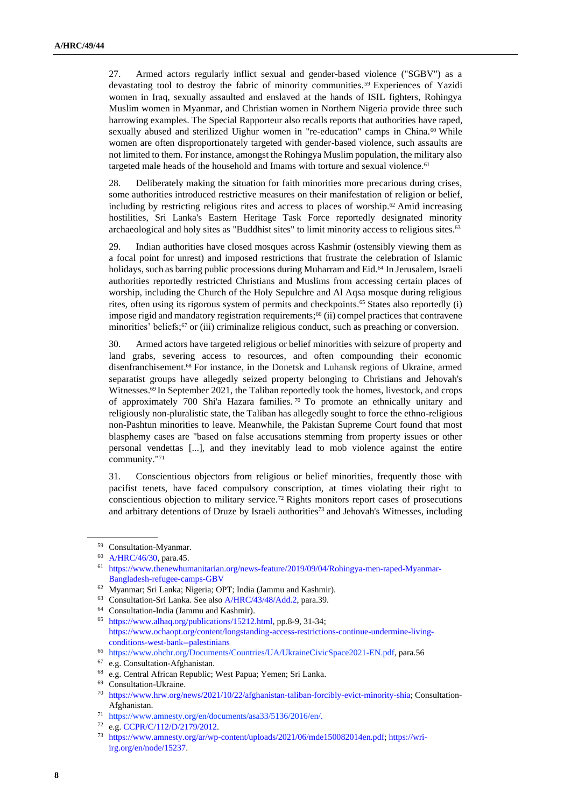27. Armed actors regularly inflict sexual and gender-based violence ("SGBV") as a devastating tool to destroy the fabric of minority communities. <sup>59</sup> Experiences of Yazidi women in Iraq, sexually assaulted and enslaved at the hands of ISIL fighters, Rohingya Muslim women in Myanmar, and Christian women in Northern Nigeria provide three such harrowing examples. The Special Rapporteur also recalls reports that authorities have raped, sexually abused and sterilized Uighur women in "re-education" camps in China.<sup>60</sup> While women are often disproportionately targeted with gender-based violence, such assaults are not limited to them. For instance, amongst the Rohingya Muslim population, the military also targeted male heads of the household and Imams with torture and sexual violence.<sup>61</sup>

28. Deliberately making the situation for faith minorities more precarious during crises, some authorities introduced restrictive measures on their manifestation of religion or belief, including by restricting religious rites and access to places of worship. <sup>62</sup> Amid increasing hostilities, Sri Lanka's Eastern Heritage Task Force reportedly designated minority archaeological and holy sites as "Buddhist sites" to limit minority access to religious sites.<sup>63</sup>

29. Indian authorities have closed mosques across Kashmir (ostensibly viewing them as a focal point for unrest) and imposed restrictions that frustrate the celebration of Islamic holidays, such as barring public processions during Muharram and Eid.<sup>64</sup> In Jerusalem, Israeli authorities reportedly restricted Christians and Muslims from accessing certain places of worship, including the Church of the Holy Sepulchre and Al Aqsa mosque during religious rites, often using its rigorous system of permits and checkpoints.<sup>65</sup> States also reportedly (i) impose rigid and mandatory registration requirements;<sup>66</sup> (ii) compel practices that contravene minorities' beliefs;<sup>67</sup> or (iii) criminalize religious conduct, such as preaching or conversion.

30. Armed actors have targeted religious or belief minorities with seizure of property and land grabs, severing access to resources, and often compounding their economic disenfranchisement.<sup>68</sup> For instance, in the Donetsk and Luhansk regions of Ukraine, armed separatist groups have allegedly seized property belonging to Christians and Jehovah's Witnesses.<sup>69</sup> In September 2021, the Taliban reportedly took the homes, livestock, and crops of approximately 700 Shi'a Hazara families. <sup>70</sup> To promote an ethnically unitary and religiously non-pluralistic state, the Taliban has allegedly sought to force the ethno-religious non-Pashtun minorities to leave. Meanwhile, the Pakistan Supreme Court found that most blasphemy cases are "based on false accusations stemming from property issues or other personal vendettas [...], and they inevitably lead to mob violence against the entire community."<sup>71</sup>

31. Conscientious objectors from religious or belief minorities, frequently those with pacifist tenets, have faced compulsory conscription, at times violating their right to conscientious objection to military service. <sup>72</sup> Rights monitors report cases of prosecutions and arbitrary detentions of Druze by Israeli authorities<sup>73</sup> and Jehovah's Witnesses, including

<sup>59</sup> Consultation-Myanmar.

<sup>60</sup> [A/HRC/46/30,](https://undocs.org/Home/Mobile?FinalSymbol=A%2FHRC%2F46%2F30&Language=E&DeviceType=Desktop) para.45.

<sup>61</sup> [https://www.thenewhumanitarian.org/news-feature/2019/09/04/Rohingya-men-raped-Myanmar-](https://www.thenewhumanitarian.org/news-feature/2019/09/04/Rohingya-men-raped-Myanmar-Bangladesh-refugee-camps-GBV)[Bangladesh-refugee-camps-GBV](https://www.thenewhumanitarian.org/news-feature/2019/09/04/Rohingya-men-raped-Myanmar-Bangladesh-refugee-camps-GBV) 

<sup>62</sup> Myanmar; Sri Lanka; Nigeria; OPT; India (Jammu and Kashmir).

<sup>63</sup> Consultation-Sri Lanka. See als[o A/HRC/43/48/Add.2,](https://undocs.org/en/A/HRC/43/48/Add.2) para.39.

<sup>64</sup> Consultation-India (Jammu and Kashmir).

<sup>65</sup> [https://www.alhaq.org/publications/15212.html,](https://www.alhaq.org/publications/15212.html) pp.8-9, 31-34; [https://www.ochaopt.org/content/longstanding-access-restrictions-continue-undermine-living](https://www.ochaopt.org/content/longstanding-access-restrictions-continue-undermine-living-conditions-west-bank--palestinians)[conditions-west-bank--palestinians](https://www.ochaopt.org/content/longstanding-access-restrictions-continue-undermine-living-conditions-west-bank--palestinians)

<sup>66</sup> https://www.ohchr.org/Documents/Countries/UA/UkraineCivicSpace2021-EN.pdf, para.56

<sup>67</sup> e.g. Consultation-Afghanistan.

<sup>68</sup> e.g. Central African Republic; West Papua; Yemen; Sri Lanka.

<sup>69</sup> Consultation-Ukraine.

<sup>70</sup> [https://www.hrw.org/news/2021/10/22/afghanistan-taliban-forcibly-evict-minority-shia;](https://www.hrw.org/news/2021/10/22/afghanistan-taliban-forcibly-evict-minority-shia) Consultation-Afghanistan.

<sup>71</sup> https://www.amnesty.org/en/documents/asa33/5136/2016/en/.

<sup>72</sup> e.g[. CCPR/C/112/D/2179/2012.](https://www.undocs.org/Home/Mobile?FinalSymbol=CCPR%2FC%2F112%2FD%2F2179%2F2012&Language=E&DeviceType=Desktop)

<sup>73</sup> [https://www.amnesty.org/ar/wp-content/uploads/2021/06/mde150082014en.pdf;](https://www.amnesty.org/ar/wp-content/uploads/2021/06/mde150082014en.pdf) [https://wri](https://wri-irg.org/en/node/15237)[irg.org/en/node/15237.](https://wri-irg.org/en/node/15237)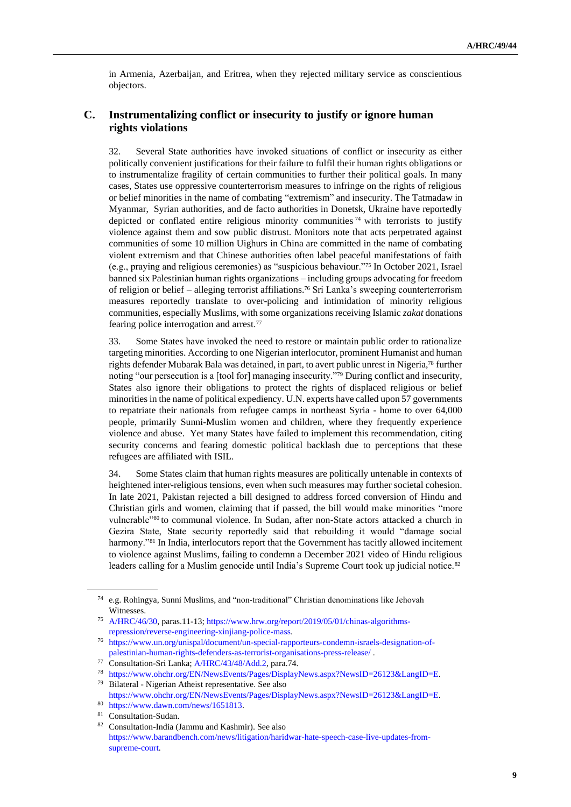in Armenia, Azerbaijan, and Eritrea, when they rejected military service as conscientious objectors.

### **C. Instrumentalizing conflict or insecurity to justify or ignore human rights violations**

32. Several State authorities have invoked situations of conflict or insecurity as either politically convenient justifications for their failure to fulfil their human rights obligations or to instrumentalize fragility of certain communities to further their political goals. In many cases, States use oppressive counterterrorism measures to infringe on the rights of religious or belief minorities in the name of combating "extremism" and insecurity. The Tatmadaw in Myanmar, Syrian authorities, and de facto authorities in Donetsk, Ukraine have reportedly depicted or conflated entire religious minority communities<sup>74</sup> with terrorists to justify violence against them and sow public distrust. Monitors note that acts perpetrated against communities of some 10 million Uighurs in China are committed in the name of combating violent extremism and that Chinese authorities often label peaceful manifestations of faith (e.g., praying and religious ceremonies) as "suspicious behaviour."<sup>75</sup> In October 2021, Israel banned six Palestinian human rights organizations – including groups advocating for freedom of religion or belief – alleging terrorist affiliations.<sup>76</sup> Sri Lanka's sweeping counterterrorism measures reportedly translate to over-policing and intimidation of minority religious communities, especially Muslims, with some organizations receiving Islamic *zakat* donations fearing police interrogation and arrest.<sup>77</sup>

33. Some States have invoked the need to restore or maintain public order to rationalize targeting minorities. According to one Nigerian interlocutor, prominent Humanist and human rights defender Mubarak Bala was detained, in part, to avert public unrest in Nigeria,<sup>78</sup> further noting "our persecution is a [tool for] managing insecurity."<sup>79</sup> During conflict and insecurity, States also ignore their obligations to protect the rights of displaced religious or belief minorities in the name of political expediency. U.N. experts have called upon 57 governments to repatriate their nationals from refugee camps in northeast Syria - home to over 64,000 people, primarily Sunni-Muslim women and children, where they frequently experience violence and abuse. Yet many States have failed to implement this recommendation, citing security concerns and fearing domestic political backlash due to perceptions that these refugees are affiliated with ISIL.

34. Some States claim that human rights measures are politically untenable in contexts of heightened inter-religious tensions, even when such measures may further societal cohesion. In late 2021, Pakistan rejected a bill designed to address forced conversion of Hindu and Christian girls and women, claiming that if passed, the bill would make minorities "more vulnerable"<sup>80</sup> to communal violence. In Sudan, after non-State actors attacked a church in Gezira State, State security reportedly said that rebuilding it would "damage social harmony."<sup>81</sup> In India, interlocutors report that the Government has tacitly allowed incitement to violence against Muslims, failing to condemn a December 2021 video of Hindu religious leaders calling for a Muslim genocide until India's Supreme Court took up judicial notice.<sup>82</sup>

<sup>74</sup> e.g. Rohingya, Sunni Muslims, and "non-traditional" Christian denominations like Jehovah Witnesses.

<sup>75</sup> [A/HRC/46/30,](https://undocs.org/Home/Mobile?FinalSymbol=A%2FHRC%2F46%2F30&Language=E&DeviceType=Desktop) paras.11-13[; https://www.hrw.org/report/2019/05/01/chinas-algorithms](https://www.hrw.org/report/2019/05/01/chinas-algorithms-repression/reverse-engineering-xinjiang-police-mass)[repression/reverse-engineering-xinjiang-police-mass.](https://www.hrw.org/report/2019/05/01/chinas-algorithms-repression/reverse-engineering-xinjiang-police-mass)

<sup>76</sup> [https://www.un.org/unispal/document/un-special-rapporteurs-condemn-israels-designation-of](https://www.un.org/unispal/document/un-special-rapporteurs-condemn-israels-designation-of-palestinian-human-rights-defenders-as-terrorist-organisations-press-release/)[palestinian-human-rights-defenders-as-terrorist-organisations-press-release/](https://www.un.org/unispal/document/un-special-rapporteurs-condemn-israels-designation-of-palestinian-human-rights-defenders-as-terrorist-organisations-press-release/) .

<sup>77</sup> Consultation-Sri Lanka[; A/HRC/43/48/Add.2,](https://undocs.org/Home/Mobile?FinalSymbol=A%2FHRC%2F43%2F48%2FAdd.2&Language=E&DeviceType=Desktop) para.74.

<sup>78</sup> [https://www.ohchr.org/EN/NewsEvents/Pages/DisplayNews.aspx?NewsID=26123&LangID=E.](https://www.ohchr.org/EN/NewsEvents/Pages/DisplayNews.aspx?NewsID=26123&LangID=E)

<sup>79</sup> Bilateral - Nigerian Atheist representative. See also [https://www.ohchr.org/EN/NewsEvents/Pages/DisplayNews.aspx?NewsID=26123&LangID=E.](https://www.ohchr.org/EN/NewsEvents/Pages/DisplayNews.aspx?NewsID=26123&LangID=E)

<sup>80</sup> [https://www.dawn.com/news/1651813.](https://www.dawn.com/news/1651813)

<sup>81</sup> Consultation-Sudan.

<sup>82</sup> Consultation-India (Jammu and Kashmir). See also [https://www.barandbench.com/news/litigation/haridwar-hate-speech-case-live-updates-from](https://www.barandbench.com/news/litigation/haridwar-hate-speech-case-live-updates-from-supreme-court)[supreme-court.](https://www.barandbench.com/news/litigation/haridwar-hate-speech-case-live-updates-from-supreme-court)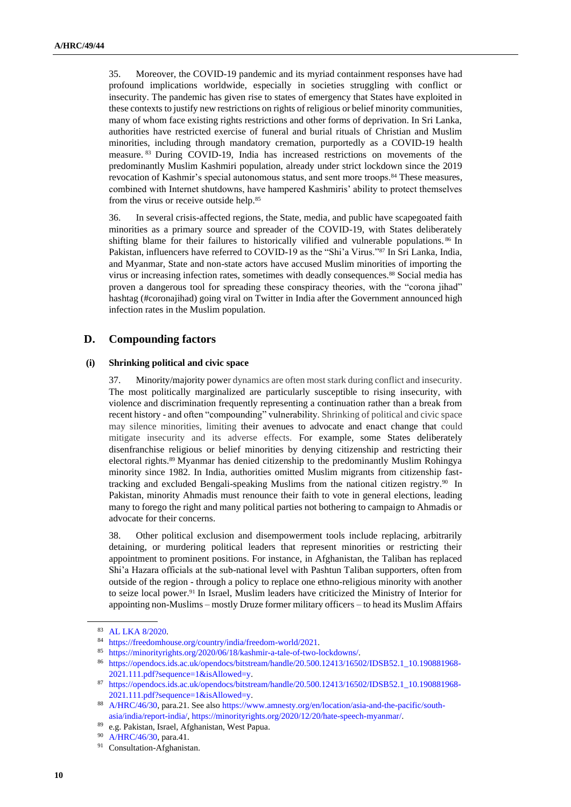35. Moreover, the COVID-19 pandemic and its myriad containment responses have had profound implications worldwide, especially in societies struggling with conflict or insecurity. The pandemic has given rise to states of emergency that States have exploited in these contexts to justify new restrictions on rights of religious or belief minority communities, many of whom face existing rights restrictions and other forms of deprivation. In Sri Lanka, authorities have restricted exercise of funeral and burial rituals of Christian and Muslim minorities, including through mandatory cremation, purportedly as a COVID-19 health measure. <sup>83</sup> During COVID-19, India has increased restrictions on movements of the predominantly Muslim Kashmiri population, already under strict lockdown since the 2019 revocation of Kashmir's special autonomous status, and sent more troops.<sup>84</sup> These measures, combined with Internet shutdowns, have hampered Kashmiris' ability to protect themselves from the virus or receive outside help.<sup>85</sup>

36. In several crisis-affected regions, the State, media, and public have scapegoated faith minorities as a primary source and spreader of the COVID-19, with States deliberately shifting blame for their failures to historically vilified and vulnerable populations. 86 In Pakistan, influencers have referred to COVID-19 as the "Shi'a Virus."<sup>87</sup> In Sri Lanka, India, and Myanmar, State and non-state actors have accused Muslim minorities of importing the virus or increasing infection rates, sometimes with deadly consequences.<sup>88</sup> Social media has proven a dangerous tool for spreading these conspiracy theories, with the "corona jihad" hashtag (#coronajihad) going viral on Twitter in India after the Government announced high infection rates in the Muslim population.

### **D. Compounding factors**

#### **(i) Shrinking political and civic space**

37. Minority/majority power dynamics are often most stark during conflict and insecurity. The most politically marginalized are particularly susceptible to rising insecurity, with violence and discrimination frequently representing a continuation rather than a break from recent history - and often "compounding" vulnerability. Shrinking of political and civic space may silence minorities, limiting their avenues to advocate and enact change that could mitigate insecurity and its adverse effects. For example, some States deliberately disenfranchise religious or belief minorities by denying citizenship and restricting their electoral rights.<sup>89</sup> Myanmar has denied citizenship to the predominantly Muslim Rohingya minority since 1982. In India, authorities omitted Muslim migrants from citizenship fasttracking and excluded Bengali-speaking Muslims from the national citizen registry.<sup>90</sup> In Pakistan, minority Ahmadis must renounce their faith to vote in general elections, leading many to forego the right and many political parties not bothering to campaign to Ahmadis or advocate for their concerns.

38. Other political exclusion and disempowerment tools include replacing, arbitrarily detaining, or murdering political leaders that represent minorities or restricting their appointment to prominent positions. For instance, in Afghanistan, the Taliban has replaced Shi'a Hazara officials at the sub-national level with Pashtun Taliban supporters, often from outside of the region - through a policy to replace one ethno-religious minority with another to seize local power.<sup>91</sup> In Israel, Muslim leaders have criticized the Ministry of Interior for appointing non-Muslims – mostly Druze former military officers – to head its Muslim Affairs

<sup>83</sup> [AL LKA 8/2020.](https://spcommreports.ohchr.org/TMResultsBase/DownLoadPublicCommunicationFile?gId=25738)

<sup>84</sup> [https://freedomhouse.org/country/india/freedom-world/2021.](https://freedomhouse.org/country/india/freedom-world/2021)

<sup>85</sup> [https://minorityrights.org/2020/06/18/kashmir-a-tale-of-two-lockdowns/.](https://minorityrights.org/2020/06/18/kashmir-a-tale-of-two-lockdowns/)

<sup>86</sup> [https://opendocs.ids.ac.uk/opendocs/bitstream/handle/20.500.12413/16502/IDSB52.1\\_10.190881968-](https://opendocs.ids.ac.uk/opendocs/bitstream/handle/20.500.12413/16502/IDSB52.1_10.190881968-2021.111.pdf?sequence=1&isAllowed=y) [2021.111.pdf?sequence=1&isAllowed=y.](https://opendocs.ids.ac.uk/opendocs/bitstream/handle/20.500.12413/16502/IDSB52.1_10.190881968-2021.111.pdf?sequence=1&isAllowed=y)

<sup>87</sup> [https://opendocs.ids.ac.uk/opendocs/bitstream/handle/20.500.12413/16502/IDSB52.1\\_10.190881968-](https://opendocs.ids.ac.uk/opendocs/bitstream/handle/20.500.12413/16502/IDSB52.1_10.190881968-2021.111.pdf?sequence=1&isAllowed=y) [2021.111.pdf?sequence=1&isAllowed=y.](https://opendocs.ids.ac.uk/opendocs/bitstream/handle/20.500.12413/16502/IDSB52.1_10.190881968-2021.111.pdf?sequence=1&isAllowed=y)

<sup>88</sup> [A/HRC/46/30,](https://undocs.org/Home/Mobile?FinalSymbol=A%2FHRC%2F46%2F30&Language=E&DeviceType=Desktop) para.21. See als[o https://www.amnesty.org/en/location/asia-and-the-pacific/south](https://www.amnesty.org/en/location/asia-and-the-pacific/south-asia/india/report-india/)[asia/india/report-india/,](https://www.amnesty.org/en/location/asia-and-the-pacific/south-asia/india/report-india/) [https://minorityrights.org/2020/12/20/hate-speech-myanmar/.](https://minorityrights.org/2020/12/20/hate-speech-myanmar/)

<sup>89</sup> e.g. Pakistan, Israel, Afghanistan, West Papua.

<sup>90</sup> [A/HRC/46/30,](https://www.ohchr.org/EN/HRBodies/HRC/RegularSessions/Session46/Documents/A_HRC_46_30.docx) para.41.

<sup>&</sup>lt;sup>91</sup> Consultation-Afghanistan.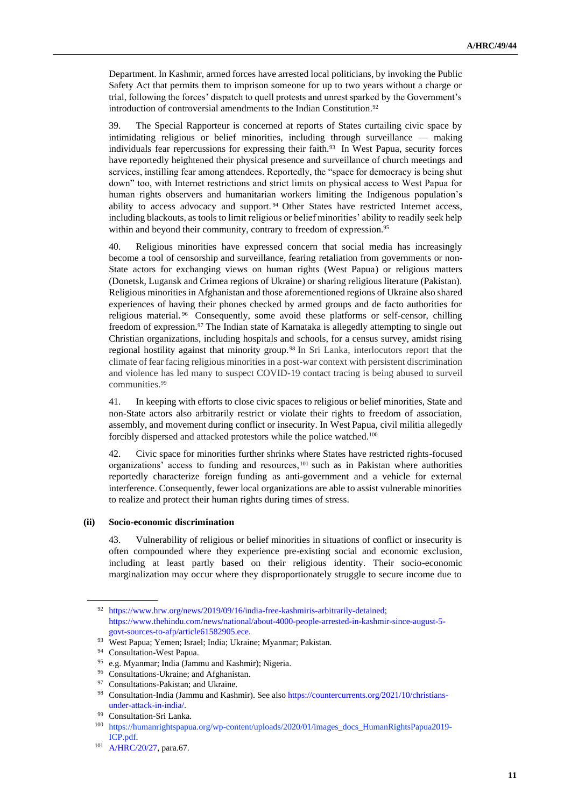Department. In Kashmir, armed forces have arrested local politicians, by invoking the Public Safety Act that permits them to imprison someone for up to two years without a charge or trial, following the forces' dispatch to quell protests and unrest sparked by the Government's introduction of controversial amendments to the Indian Constitution.<sup>92</sup>

39. The Special Rapporteur is concerned at reports of States curtailing civic space by intimidating religious or belief minorities, including through surveillance –– making individuals fear repercussions for expressing their faith.<sup>93</sup> In West Papua, security forces have reportedly heightened their physical presence and surveillance of church meetings and services, instilling fear among attendees. Reportedly, the "space for democracy is being shut down" too, with Internet restrictions and strict limits on physical access to West Papua for human rights observers and humanitarian workers limiting the Indigenous population's ability to access advocacy and support. <sup>94</sup> Other States have restricted Internet access, including blackouts, as tools to limit religious or belief minorities' ability to readily seek help within and beyond their community, contrary to freedom of expression.<sup>95</sup>

40. Religious minorities have expressed concern that social media has increasingly become a tool of censorship and surveillance, fearing retaliation from governments or non-State actors for exchanging views on human rights (West Papua) or religious matters (Donetsk, Lugansk and Crimea regions of Ukraine) or sharing religious literature (Pakistan). Religious minorities in Afghanistan and those aforementioned regions of Ukraine also shared experiences of having their phones checked by armed groups and de facto authorities for religious material. <sup>96</sup> Consequently, some avoid these platforms or self-censor, chilling freedom of expression.<sup>97</sup> The Indian state of Karnataka is allegedly attempting to single out Christian organizations, including hospitals and schools, for a census survey, amidst rising regional hostility against that minority group.<sup>98</sup> In Sri Lanka, interlocutors report that the climate of fear facing religious minorities in a post-war context with persistent discrimination and violence has led many to suspect COVID-19 contact tracing is being abused to surveil communities.<sup>99</sup>

41. In keeping with efforts to close civic spaces to religious or belief minorities, State and non-State actors also arbitrarily restrict or violate their rights to freedom of association, assembly, and movement during conflict or insecurity. In West Papua, civil militia allegedly forcibly dispersed and attacked protestors while the police watched.<sup>100</sup>

42. Civic space for minorities further shrinks where States have restricted rights-focused organizations' access to funding and resources, <sup>101</sup> such as in Pakistan where authorities reportedly characterize foreign funding as anti-government and a vehicle for external interference. Consequently, fewer local organizations are able to assist vulnerable minorities to realize and protect their human rights during times of stress.

### **(ii) Socio-economic discrimination**

43. Vulnerability of religious or belief minorities in situations of conflict or insecurity is often compounded where they experience pre-existing social and economic exclusion, including at least partly based on their religious identity. Their socio-economic marginalization may occur where they disproportionately struggle to secure income due to

<sup>92</sup> [https://www.hrw.org/news/2019/09/16/india-free-kashmiris-arbitrarily-detained;](https://www.hrw.org/news/2019/09/16/india-free-kashmiris-arbitrarily-detained) [https://www.thehindu.com/news/national/about-4000-people-arrested-in-kashmir-since-august-5](https://www.thehindu.com/news/national/about-4000-people-arrested-in-kashmir-since-august-5-govt-sources-to-afp/article61582905.ece) [govt-sources-to-afp/article61582905.ece.](https://www.thehindu.com/news/national/about-4000-people-arrested-in-kashmir-since-august-5-govt-sources-to-afp/article61582905.ece)

<sup>93</sup> West Papua; Yemen; Israel; India; Ukraine; Myanmar; Pakistan.

<sup>94</sup> Consultation-West Papua.

<sup>95</sup> e.g. Myanmar; India (Jammu and Kashmir); Nigeria.

<sup>&</sup>lt;sup>96</sup> Consultations-Ukraine; and Afghanistan.

<sup>&</sup>lt;sup>97</sup> Consultations-Pakistan; and Ukraine.

<sup>98</sup> Consultation-India (Jammu and Kashmir). See als[o https://countercurrents.org/2021/10/christians](https://countercurrents.org/2021/10/christians-under-attack-in-india/)[under-attack-in-india/.](https://countercurrents.org/2021/10/christians-under-attack-in-india/)

Consultation-Sri Lanka.

<sup>100</sup> https://humanrightspapua.org/wp-content/uploads/2020/01/images\_docs\_HumanRightsPapua2019- ICP.pdf.

<sup>101</sup> [A/HRC/20/27,](https://www.ohchr.org/documents/hrbodies/hrcouncil/regularsession/session20/a-hrc-20-27_en.pdf) para.67.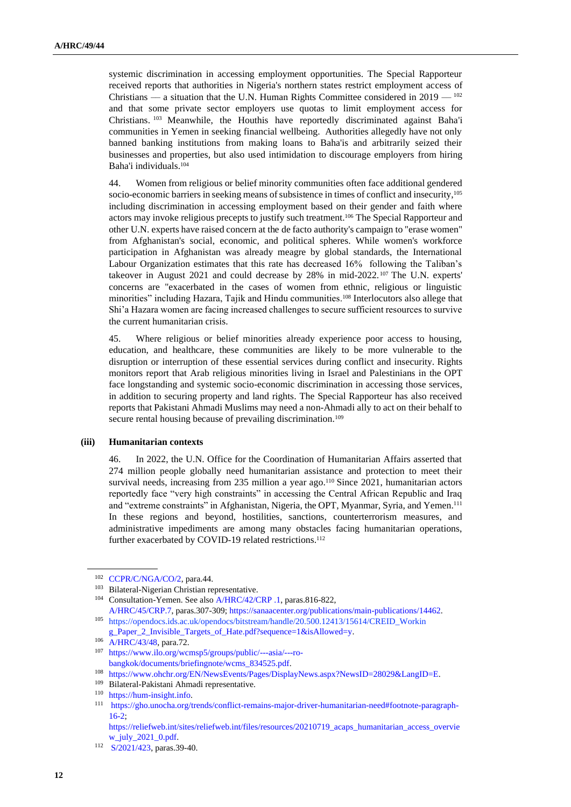systemic discrimination in accessing employment opportunities. The Special Rapporteur received reports that authorities in Nigeria's northern states restrict employment access of Christians — a situation that the U.N. Human Rights Committee considered in  $2019 - 102$ and that some private sector employers use quotas to limit employment access for Christians. <sup>103</sup> Meanwhile, the Houthis have reportedly discriminated against Baha'i communities in Yemen in seeking financial wellbeing. Authorities allegedly have not only banned banking institutions from making loans to Baha'is and arbitrarily seized their businesses and properties, but also used intimidation to discourage employers from hiring Baha'i individuals.<sup>104</sup>

44. Women from religious or belief minority communities often face additional gendered socio-economic barriers in seeking means of subsistence in times of conflict and insecurity,<sup>105</sup> including discrimination in accessing employment based on their gender and faith where actors may invoke religious precepts to justify such treatment.<sup>106</sup> The Special Rapporteur and other U.N. experts have raised concern at the de facto authority's campaign to "erase women" from Afghanistan's social, economic, and political spheres. While women's workforce participation in Afghanistan was already meagre by global standards, the International Labour Organization estimates that this rate has decreased 16% following the Taliban's takeover in August 2021 and could decrease by 28% in mid-2022. <sup>107</sup> The U.N. experts' concerns are "exacerbated in the cases of women from ethnic, religious or linguistic minorities" including Hazara, Tajik and Hindu communities.<sup>108</sup> Interlocutors also allege that Shi'a Hazara women are facing increased challenges to secure sufficient resources to survive the current humanitarian crisis.

45. Where religious or belief minorities already experience poor access to housing, education, and healthcare, these communities are likely to be more vulnerable to the disruption or interruption of these essential services during conflict and insecurity. Rights monitors report that Arab religious minorities living in Israel and Palestinians in the OPT face longstanding and systemic socio-economic discrimination in accessing those services, in addition to securing property and land rights. The Special Rapporteur has also received reports that Pakistani Ahmadi Muslims may need a non-Ahmadi ally to act on their behalf to secure rental housing because of prevailing discrimination.<sup>109</sup>

### **(iii) Humanitarian contexts**

46. In 2022, the U.N. Office for the Coordination of Humanitarian Affairs asserted that 274 million people globally need humanitarian assistance and protection to meet their survival needs, increasing from 235 million a year ago.<sup>110</sup> Since 2021, humanitarian actors reportedly face "very high constraints" in accessing the Central African Republic and Iraq and "extreme constraints" in Afghanistan, Nigeria, the OPT, Myanmar, Syria, and Yemen.<sup>111</sup> In these regions and beyond, hostilities, sanctions, counterterrorism measures, and administrative impediments are among many obstacles facing humanitarian operations, further exacerbated by COVID-19 related restrictions.<sup>112</sup>

<sup>102</sup> [CCPR/C/NGA/CO/2,](https://tbinternet.ohchr.org/_layouts/15/treatybodyexternal/Download.aspx?symbolno=CCPR/C/NGA/CO/2&Lang=En) para.44.

<sup>103</sup> Bilateral-Nigerian Christian representative.

<sup>104</sup> Consultation-Yemen. See also [A/HRC/42/CRP .1,](https://www.securitycouncilreport.org/atf/cf/%7B65BFCF9B-6D27-4E9C-8CD3-CF6E4FF96FF9%7D/A_HRC_42_CRP_1.pdf) paras.816-822, [A/HRC/45/CRP.7,](https://www.ohchr.org/Documents/HRBodies/HRCouncil/GEE-Yemen/A-HRC-45-CRP.7-en.pdf) paras.307-309[; https://sanaacenter.org/publications/main-publications/14462.](https://sanaacenter.org/publications/main-publications/14462) 

<sup>105</sup> https://opendocs.ids.ac.uk/opendocs/bitstream/handle/20.500.12413/15614/CREID\_Workin [g\\_Paper\\_2\\_Invisible\\_Targets\\_of\\_Hate.pdf?sequence=1&isAllowed=y.](https://opendocs.ids.ac.uk/opendocs/bitstream/handle/20.500.12413/15614/CREID_Working_Paper_2_Invisible_Targets_of_Hate.pdf?sequence=1&isAllowed=y)

<sup>106</sup> [A/HRC/43/48,](https://undocs.org/Home/Mobile?FinalSymbol=A%2FHRC%2F43%2F48&Language=E&DeviceType=Desktop) para.72.

<sup>107</sup> [https://www.ilo.org/wcmsp5/groups/public/---asia/---ro](https://www.ilo.org/wcmsp5/groups/public/---asia/---ro-bangkok/documents/briefingnote/wcms_834525.pdf)[bangkok/documents/briefingnote/wcms\\_834525.pdf.](https://www.ilo.org/wcmsp5/groups/public/---asia/---ro-bangkok/documents/briefingnote/wcms_834525.pdf)

<sup>108</sup> [https://www.ohchr.org/EN/NewsEvents/Pages/DisplayNews.aspx?NewsID=28029&LangID=E.](https://www.ohchr.org/EN/NewsEvents/Pages/DisplayNews.aspx?NewsID=28029&LangID=E)

<sup>109</sup> Bilateral-Pakistani Ahmadi representative.

<sup>110</sup> [https://hum-insight.info.](https://hum-insight.info/)

<sup>111</sup> [https://gho.unocha.org/trends/conflict-remains-major-driver-humanitarian-need#footnote-paragraph-](https://gho.unocha.org/trends/conflict-remains-major-driver-humanitarian-need#footnote-paragraph-16-2)[16-2;](https://gho.unocha.org/trends/conflict-remains-major-driver-humanitarian-need#footnote-paragraph-16-2)

[https://reliefweb.int/sites/reliefweb.int/files/resources/20210719\\_acaps\\_humanitarian\\_access\\_overvie](https://reliefweb.int/sites/reliefweb.int/files/resources/20210719_acaps_humanitarian_access_overview_july_2021_0.pdf) [w\\_july\\_2021\\_0.pdf.](https://reliefweb.int/sites/reliefweb.int/files/resources/20210719_acaps_humanitarian_access_overview_july_2021_0.pdf)

<sup>112</sup> [S/2021/423,](https://www.undocs.org/Home/Mobile?FinalSymbol=S%2F2021%2F423&Language=E&DeviceType=Desktop) paras.39-40.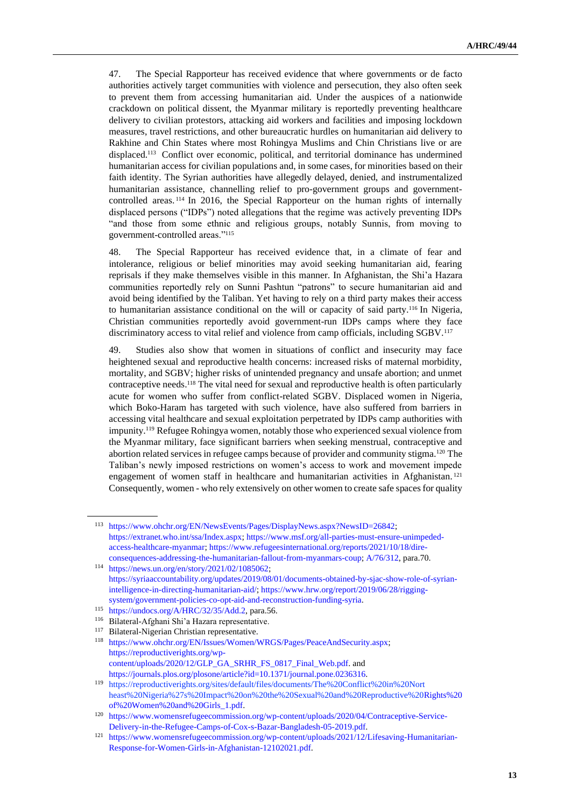47. The Special Rapporteur has received evidence that where governments or de facto authorities actively target communities with violence and persecution, they also often seek to prevent them from accessing humanitarian aid. Under the auspices of a nationwide crackdown on political dissent, the Myanmar military is reportedly preventing healthcare delivery to civilian protestors, attacking aid workers and facilities and imposing lockdown measures, travel restrictions, and other bureaucratic hurdles on humanitarian aid delivery to Rakhine and Chin States where most Rohingya Muslims and Chin Christians live or are displaced.<sup>113</sup> Conflict over economic, political, and territorial dominance has undermined humanitarian access for civilian populations and, in some cases, for minorities based on their faith identity. The Syrian authorities have allegedly delayed, denied, and instrumentalized humanitarian assistance, channelling relief to pro-government groups and governmentcontrolled areas. <sup>114</sup> In 2016, the Special Rapporteur on the human rights of internally displaced persons ("IDPs") noted allegations that the regime was actively preventing IDPs "and those from some ethnic and religious groups, notably Sunnis, from moving to government-controlled areas."<sup>115</sup>

48. The Special Rapporteur has received evidence that, in a climate of fear and intolerance, religious or belief minorities may avoid seeking humanitarian aid, fearing reprisals if they make themselves visible in this manner. In Afghanistan, the Shi'a Hazara communities reportedly rely on Sunni Pashtun "patrons" to secure humanitarian aid and avoid being identified by the Taliban. Yet having to rely on a third party makes their access to humanitarian assistance conditional on the will or capacity of said party.<sup>116</sup> In Nigeria, Christian communities reportedly avoid government-run IDPs camps where they face discriminatory access to vital relief and violence from camp officials, including SGBV.<sup>117</sup>

49. Studies also show that women in situations of conflict and insecurity may face heightened sexual and reproductive health concerns: increased risks of maternal morbidity, mortality, and SGBV; higher risks of unintended pregnancy and unsafe abortion; and unmet contraceptive needs.<sup>118</sup> The vital need for sexual and reproductive health is often particularly acute for women who suffer from conflict-related SGBV. Displaced women in Nigeria, which Boko-Haram has targeted with such violence, have also suffered from barriers in accessing vital healthcare and sexual exploitation perpetrated by IDPs camp authorities with impunity.<sup>119</sup> Refugee Rohingya women, notably those who experienced sexual violence from the Myanmar military, face significant barriers when seeking menstrual, contraceptive and abortion related services in refugee camps because of provider and community stigma.<sup>120</sup> The Taliban's newly imposed restrictions on women's access to work and movement impede engagement of women staff in healthcare and humanitarian activities in Afghanistan. <sup>121</sup> Consequently, women - who rely extensively on other women to create safe spaces for quality

<sup>113</sup> [https://www.ohchr.org/EN/NewsEvents/Pages/DisplayNews.aspx?NewsID=26842;](https://www.ohchr.org/EN/NewsEvents/Pages/DisplayNews.aspx?NewsID=26842) [https://extranet.who.int/ssa/Index.aspx;](https://extranet.who.int/ssa/Index.aspx) [https://www.msf.org/all-parties-must-ensure-unimpeded](https://www.msf.org/all-parties-must-ensure-unimpeded-access-healthcare-myanmar)[access-healthcare-myanmar;](https://www.msf.org/all-parties-must-ensure-unimpeded-access-healthcare-myanmar) [https://www.refugeesinternational.org/reports/2021/10/18/dire](https://www.refugeesinternational.org/reports/2021/10/18/dire-consequences-addressing-the-humanitarian-fallout-from-myanmars-coup)[consequences-addressing-the-humanitarian-fallout-from-myanmars-coup;](https://www.refugeesinternational.org/reports/2021/10/18/dire-consequences-addressing-the-humanitarian-fallout-from-myanmars-coup) [A/76/312,](https://www.undocs.org/Home/Mobile?FinalSymbol=A%2F76%2F312&Language=E&DeviceType=Desktop) para.70.

<sup>114</sup> [https://news.un.org/en/story/2021/02/1085062;](https://news.un.org/en/story/2021/02/1085062) [https://syriaaccountability.org/updates/2019/08/01/documents-obtained-by-sjac-show-role-of-syrian](https://syriaaccountability.org/updates/2019/08/01/documents-obtained-by-sjac-show-role-of-syrian-intelligence-in-directing-humanitarian-aid/)[intelligence-in-directing-humanitarian-aid/;](https://syriaaccountability.org/updates/2019/08/01/documents-obtained-by-sjac-show-role-of-syrian-intelligence-in-directing-humanitarian-aid/) [https://www.hrw.org/report/2019/06/28/rigging](https://www.hrw.org/report/2019/06/28/rigging-system/government-policies-co-opt-aid-and-reconstruction-funding-syria)[system/government-policies-co-opt-aid-and-reconstruction-funding-syria.](https://www.hrw.org/report/2019/06/28/rigging-system/government-policies-co-opt-aid-and-reconstruction-funding-syria)

<sup>115</sup> [https://undocs.org/A/HRC/32/35/Add.2,](https://undocs.org/A/HRC/32/35/Add.2) para.56.

<sup>116</sup> Bilateral-Afghani Shi'a Hazara representative.

<sup>117</sup> Bilateral-Nigerian Christian representative.

<sup>118</sup> [https://www.ohchr.org/EN/Issues/Women/WRGS/Pages/PeaceAndSecurity.aspx;](https://www.ohchr.org/EN/Issues/Women/WRGS/Pages/PeaceAndSecurity.aspx) [https://reproductiverights.org/wp](https://reproductiverights.org/wp-content/uploads/2020/12/GLP_GA_SRHR_FS_0817_Final_Web.pdf)[content/uploads/2020/12/GLP\\_GA\\_SRHR\\_FS\\_0817\\_Final\\_Web.pdf.](https://reproductiverights.org/wp-content/uploads/2020/12/GLP_GA_SRHR_FS_0817_Final_Web.pdf) and [https://journals.plos.org/plosone/article?id=10.1371/journal.pone.0236316.](https://journals.plos.org/plosone/article?id=10.1371/journal.pone.0236316)

<sup>119</sup> https://reproductiverights.org/sites/default/files/documents/The%20Conflict%20in%20Nort heast%20Nigeria%27s%20Impact%20on%20the%20Sexual%20and%20Reproductive%2[0Rights%20](https://reproductiverights.org/sites/default/files/documents/The%20Conflict%20in%20Northeast%20Nigeria%27s%20Impact%20on%20the%20Sexual%20and%20Reproductive%20Rights%20of%20Women%20and%20Girls_1.pdf) [of%20Women%20and%20Girls\\_1.pdf.](https://reproductiverights.org/sites/default/files/documents/The%20Conflict%20in%20Northeast%20Nigeria%27s%20Impact%20on%20the%20Sexual%20and%20Reproductive%20Rights%20of%20Women%20and%20Girls_1.pdf)

<sup>120</sup> [https://www.womensrefugeecommission.org/wp-content/uploads/2020/04/Contraceptive-Service-](https://www.womensrefugeecommission.org/wp-content/uploads/2020/04/Contraceptive-Service-Delivery-in-the-Refugee-Camps-of-Cox-s-Bazar-Bangladesh-05-2019.pdf)[Delivery-in-the-Refugee-Camps-of-Cox-s-Bazar-Bangladesh-05-2019.pdf.](https://www.womensrefugeecommission.org/wp-content/uploads/2020/04/Contraceptive-Service-Delivery-in-the-Refugee-Camps-of-Cox-s-Bazar-Bangladesh-05-2019.pdf)

<sup>121</sup> [https://www.womensrefugeecommission.org/wp-content/uploads/2021/12/Lifesaving-Humanitarian-](https://www.womensrefugeecommission.org/wp-content/uploads/2021/12/Lifesaving-Humanitarian-Response-for-Women-Girls-in-Afghanistan-12102021.pdf)[Response-for-Women-Girls-in-Afghanistan-12102021.pdf.](https://www.womensrefugeecommission.org/wp-content/uploads/2021/12/Lifesaving-Humanitarian-Response-for-Women-Girls-in-Afghanistan-12102021.pdf)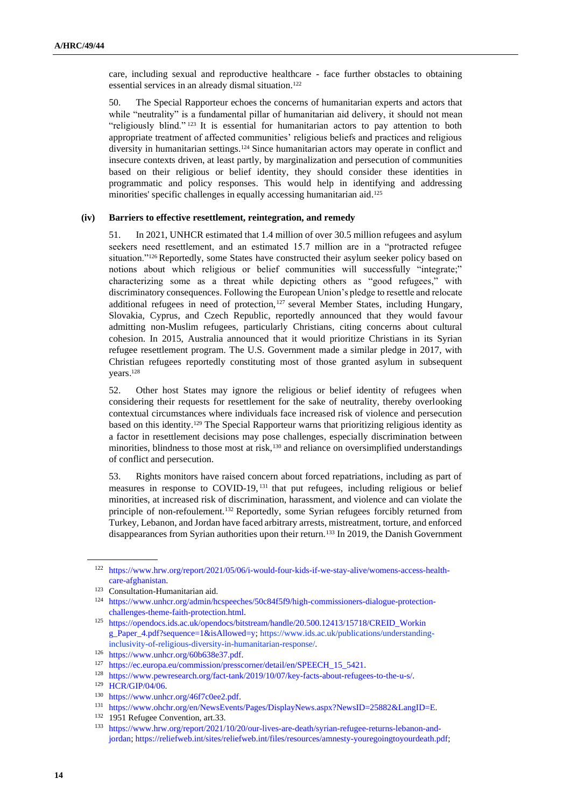care, including sexual and reproductive healthcare - face further obstacles to obtaining essential services in an already dismal situation.<sup>122</sup>

50. The Special Rapporteur echoes the concerns of humanitarian experts and actors that while "neutrality" is a fundamental pillar of humanitarian aid delivery, it should not mean "religiously blind." <sup>123</sup> It is essential for humanitarian actors to pay attention to both appropriate treatment of affected communities' religious beliefs and practices and religious diversity in humanitarian settings.<sup>124</sup> Since humanitarian actors may operate in conflict and insecure contexts driven, at least partly, by marginalization and persecution of communities based on their religious or belief identity, they should consider these identities in programmatic and policy responses. This would help in identifying and addressing minorities' specific challenges in equally accessing humanitarian aid.<sup>125</sup>

#### **(iv) Barriers to effective resettlement, reintegration, and remedy**

51. In 2021, UNHCR estimated that 1.4 million of over 30.5 million refugees and asylum seekers need resettlement, and an estimated 15.7 million are in a "protracted refugee situation."<sup>126</sup> Reportedly, some States have constructed their asylum seeker policy based on notions about which religious or belief communities will successfully "integrate;" characterizing some as a threat while depicting others as "good refugees," with discriminatory consequences. Following the European Union's pledge to resettle and relocate additional refugees in need of protection,<sup>127</sup> several Member States, including Hungary, Slovakia, Cyprus, and Czech Republic, reportedly announced that they would favour admitting non-Muslim refugees, particularly Christians, citing concerns about cultural cohesion. In 2015, Australia announced that it would prioritize Christians in its Syrian refugee resettlement program. The U.S. Government made a similar pledge in 2017, with Christian refugees reportedly constituting most of those granted asylum in subsequent years.<sup>128</sup>

52. Other host States may ignore the religious or belief identity of refugees when considering their requests for resettlement for the sake of neutrality, thereby overlooking contextual circumstances where individuals face increased risk of violence and persecution based on this identity.<sup>129</sup> The Special Rapporteur warns that prioritizing religious identity as a factor in resettlement decisions may pose challenges, especially discrimination between minorities, blindness to those most at risk,<sup>130</sup> and reliance on oversimplified understandings of conflict and persecution.

53. Rights monitors have raised concern about forced repatriations, including as part of measures in response to COVID-19, <sup>131</sup> that put refugees, including religious or belief minorities, at increased risk of discrimination, harassment, and violence and can violate the principle of non-refoulement.<sup>132</sup> Reportedly, some Syrian refugees forcibly returned from Turkey, Lebanon, and Jordan have faced arbitrary arrests, mistreatment, torture, and enforced disappearances from Syrian authorities upon their return.<sup>133</sup> In 2019, the Danish Government

<sup>122</sup> [https://www.hrw.org/report/2021/05/06/i-would-four-kids-if-we-stay-alive/womens-access-health](https://www.hrw.org/report/2021/05/06/i-would-four-kids-if-we-stay-alive/womens-access-health-care-afghanistan)[care-afghanistan.](https://www.hrw.org/report/2021/05/06/i-would-four-kids-if-we-stay-alive/womens-access-health-care-afghanistan)

<sup>&</sup>lt;sup>123</sup> Consultation-Humanitarian aid.

<sup>124</sup> [https://www.unhcr.org/admin/hcspeeches/50c84f5f9/high-commissioners-dialogue-protection](https://www.unhcr.org/admin/hcspeeches/50c84f5f9/high-commissioners-dialogue-protection-challenges-theme-faith-protection.html)[challenges-theme-faith-protection.html.](https://www.unhcr.org/admin/hcspeeches/50c84f5f9/high-commissioners-dialogue-protection-challenges-theme-faith-protection.html)

<sup>125</sup> [https://opendocs.ids.ac.uk/opendocs/bitstream/handle/20.500.12413/15718/CREID\\_Workin](https://opendocs.ids.ac.uk/opendocs/bitstream/handle/20.500.12413/15718/CREID_Workin) [g\\_Paper\\_4.pdf?sequence=1&isAllowed=y;](https://opendocs.ids.ac.uk/opendocs/bitstream/handle/20.500.12413/15718/CREID_Working_Paper_4.pdf?sequence=1&isAllowed=y) https://www.ids.ac.uk/publications/understandinginclusivity-of-religious-diversity-in[-humanitarian-response/.](https://www.ids.ac.uk/publications/understanding-inclusivity-of-religious-diversity-in-humanitarian-response/)

<sup>126</sup> [https://www.unhcr.org/60b638e37.pdf.](https://www.unhcr.org/60b638e37.pdf)

<sup>127</sup> [https://ec.europa.eu/commission/presscorner/detail/en/SPEECH\\_15\\_5421.](https://ec.europa.eu/commission/presscorner/detail/en/SPEECH_15_5421) 

<sup>128</sup> [https://www.pewresearch.org/fact-tank/2019/10/07/key-facts-about-refugees-to-the-u-s/.](https://www.pewresearch.org/fact-tank/2019/10/07/key-facts-about-refugees-to-the-u-s/)

<sup>129</sup> [HCR/GIP/04/06.](https://www.unhcr.org/40d8427a4.pdf)

<sup>130</sup> [https://www.unhcr.org/46f7c0ee2.pdf.](https://www.unhcr.org/46f7c0ee2.pdf)

<sup>131</sup> [https://www.ohchr.org/en/NewsEvents/Pages/DisplayNews.aspx?NewsID=25882&LangID=E.](https://www.ohchr.org/en/NewsEvents/Pages/DisplayNews.aspx?NewsID=25882&LangID=E)

<sup>&</sup>lt;sup>132</sup> 1951 Refugee Convention, art.33.

<sup>133</sup> [https://www.hrw.org/report/2021/10/20/our-lives-are-death/syrian-refugee-returns-lebanon-and](https://www.hrw.org/report/2021/10/20/our-lives-are-death/syrian-refugee-returns-lebanon-and-jordan)[jordan;](https://www.hrw.org/report/2021/10/20/our-lives-are-death/syrian-refugee-returns-lebanon-and-jordan) [https://reliefweb.int/sites/reliefweb.int/files/resources/amnesty-youregoingtoyourdeath.pdf;](https://reliefweb.int/sites/reliefweb.int/files/resources/amnesty-youregoingtoyourdeath.pdf)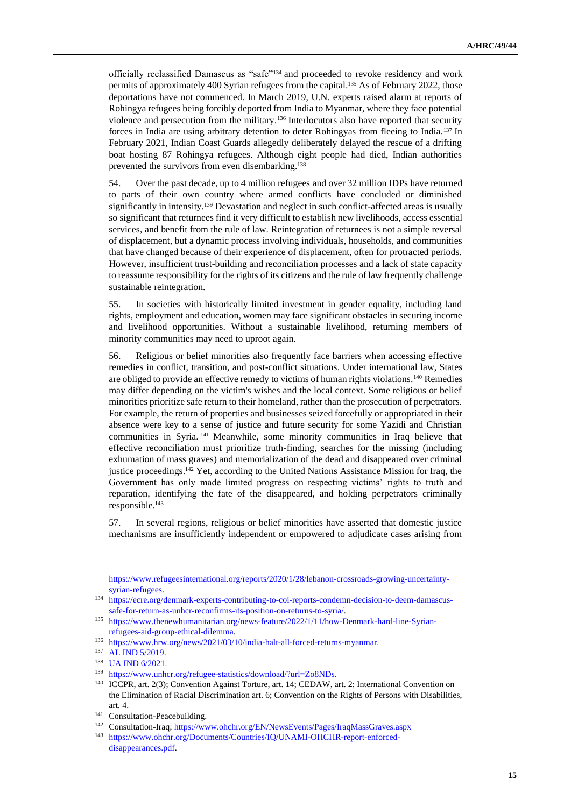officially reclassified Damascus as "safe"<sup>134</sup> and proceeded to revoke residency and work permits of approximately 400 Syrian refugees from the capital.<sup>135</sup> As of February 2022, those deportations have not commenced. In March 2019, U.N. experts raised alarm at reports of Rohingya refugees being forcibly deported from India to Myanmar, where they face potential violence and persecution from the military.<sup>136</sup> Interlocutors also have reported that security forces in India are using arbitrary detention to deter Rohingyas from fleeing to India.<sup>137</sup> In February 2021, Indian Coast Guards allegedly deliberately delayed the rescue of a drifting boat hosting 87 Rohingya refugees. Although eight people had died, Indian authorities prevented the survivors from even disembarking.<sup>138</sup>

54. Over the past decade, up to 4 million refugees and over 32 million IDPs have returned to parts of their own country where armed conflicts have concluded or diminished significantly in intensity.<sup>139</sup> Devastation and neglect in such conflict-affected areas is usually so significant that returnees find it very difficult to establish new livelihoods, access essential services, and benefit from the rule of law. Reintegration of returnees is not a simple reversal of displacement, but a dynamic process involving individuals, households, and communities that have changed because of their experience of displacement, often for protracted periods. However, insufficient trust-building and reconciliation processes and a lack of state capacity to reassume responsibility for the rights of its citizens and the rule of law frequently challenge sustainable reintegration.

55. In societies with historically limited investment in gender equality, including land rights, employment and education, women may face significant obstacles in securing income and livelihood opportunities. Without a sustainable livelihood, returning members of minority communities may need to uproot again.

56. Religious or belief minorities also frequently face barriers when accessing effective remedies in conflict, transition, and post-conflict situations. Under international law, States are obliged to provide an effective remedy to victims of human rights violations.<sup>140</sup> Remedies may differ depending on the victim's wishes and the local context. Some religious or belief minorities prioritize safe return to their homeland, rather than the prosecution of perpetrators. For example, the return of properties and businesses seized forcefully or appropriated in their absence were key to a sense of justice and future security for some Yazidi and Christian communities in Syria. <sup>141</sup> Meanwhile, some minority communities in Iraq believe that effective reconciliation must prioritize truth-finding, searches for the missing (including exhumation of mass graves) and memorialization of the dead and disappeared over criminal justice proceedings.<sup>142</sup> Yet, according to the United Nations Assistance Mission for Iraq, the Government has only made limited progress on respecting victims' rights to truth and reparation, identifying the fate of the disappeared, and holding perpetrators criminally responsible.<sup>143</sup>

57. In several regions, religious or belief minorities have asserted that domestic justice mechanisms are insufficiently independent or empowered to adjudicate cases arising from

[https://www.refugeesinternational.org/reports/2020/1/28/lebanon-crossroads-growing-uncertainty](https://www.refugeesinternational.org/reports/2020/1/28/lebanon-crossroads-growing-uncertainty-syrian-refugees)[syrian-refugees.](https://www.refugeesinternational.org/reports/2020/1/28/lebanon-crossroads-growing-uncertainty-syrian-refugees)

<sup>134</sup> [https://ecre.org/denmark-experts-contributing-to-coi-reports-condemn-decision-to-deem-damascus](https://ecre.org/denmark-experts-contributing-to-coi-reports-condemn-decision-to-deem-damascus-safe-for-return-as-unhcr-reconfirms-its-position-on-returns-to-syria/)[safe-for-return-as-unhcr-reconfirms-its-position-on-returns-to-syria/.](https://ecre.org/denmark-experts-contributing-to-coi-reports-condemn-decision-to-deem-damascus-safe-for-return-as-unhcr-reconfirms-its-position-on-returns-to-syria/)

<sup>135</sup> [https://www.thenewhumanitarian.org/news-feature/2022/1/11/how-Denmark-hard-line-Syrian](https://www.thenewhumanitarian.org/news-feature/2022/1/11/how-Denmark-hard-line-Syrian-refugees-aid-group-ethical-dilemma)[refugees-aid-group-ethical-dilemma.](https://www.thenewhumanitarian.org/news-feature/2022/1/11/how-Denmark-hard-line-Syrian-refugees-aid-group-ethical-dilemma) 

<sup>136</sup> [https://www.hrw.org/news/2021/03/10/india-halt-all-forced-returns-myanmar.](https://www.hrw.org/news/2021/03/10/india-halt-all-forced-returns-myanmar)

<sup>137</sup> [AL IND 5/2019.](https://spcommreports.ohchr.org/TMResultsBase/DownLoadPublicCommunicationFile?gId=24373)

<sup>138</sup> [UA IND 6/2021.](https://spcommreports.ohchr.org/TMResultsBase/DownLoadPublicCommunicationFile?gId=26339)

<sup>139</sup> [https://www.unhcr.org/refugee-statistics/download/?url=Zo8NDs.](https://www.unhcr.org/refugee-statistics/download/?url=Zo8NDs)

<sup>140</sup> ICCPR, art. 2(3); Convention Against Torture, art. 14; CEDAW, art. 2; International Convention on the Elimination of Racial Discrimination art. 6; Convention on the Rights of Persons with Disabilities, art. 4.

<sup>&</sup>lt;sup>141</sup> Consultation-Peacebuilding.

<sup>142</sup> Consultation-Iraq[; https://www.ohchr.org/EN/NewsEvents/Pages/IraqMassGraves.aspx](https://www.ohchr.org/EN/NewsEvents/Pages/IraqMassGraves.aspx)

<sup>143</sup> [https://www.ohchr.org/Documents/Countries/IQ/UNAMI-OHCHR-report-enforced](https://www.ohchr.org/Documents/Countries/IQ/UNAMI-OHCHR-report-enforced-disappearances.pdf)[disappearances.pdf.](https://www.ohchr.org/Documents/Countries/IQ/UNAMI-OHCHR-report-enforced-disappearances.pdf)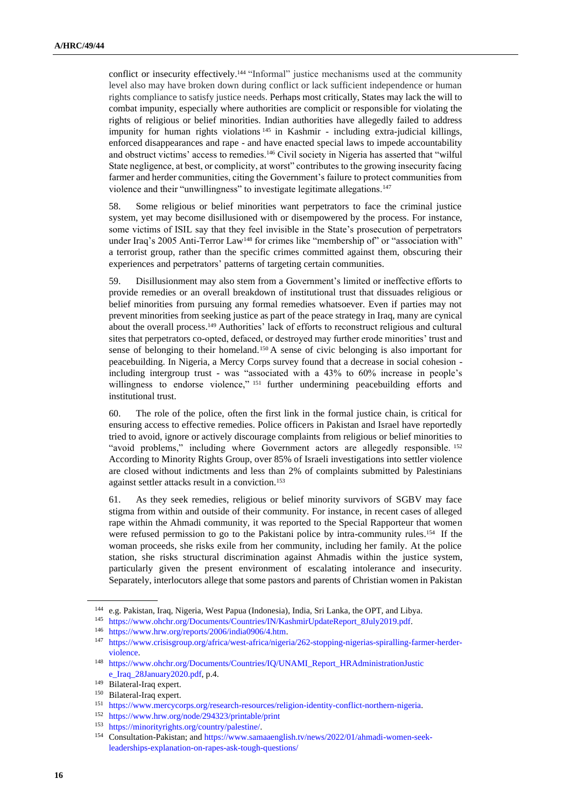conflict or insecurity effectively.<sup>144</sup> "Informal" justice mechanisms used at the community level also may have broken down during conflict or lack sufficient independence or human rights compliance to satisfy justice needs. Perhaps most critically, States may lack the will to combat impunity, especially where authorities are complicit or responsible for violating the rights of religious or belief minorities. Indian authorities have allegedly failed to address impunity for human rights violations <sup>145</sup> in Kashmir - including extra-judicial killings, enforced disappearances and rape - and have enacted special laws to impede accountability and obstruct victims' access to remedies.<sup>146</sup> Civil society in Nigeria has asserted that "wilful State negligence, at best, or complicity, at worst" contributes to the growing insecurity facing farmer and herder communities, citing the Government's failure to protect communities from violence and their "unwillingness" to investigate legitimate allegations.<sup>147</sup>

58. Some religious or belief minorities want perpetrators to face the criminal justice system, yet may become disillusioned with or disempowered by the process. For instance, some victims of ISIL say that they feel invisible in the State's prosecution of perpetrators under Iraq's 2005 Anti-Terror Law<sup>148</sup> for crimes like "membership of" or "association with" a terrorist group, rather than the specific crimes committed against them, obscuring their experiences and perpetrators' patterns of targeting certain communities.

59. Disillusionment may also stem from a Government's limited or ineffective efforts to provide remedies or an overall breakdown of institutional trust that dissuades religious or belief minorities from pursuing any formal remedies whatsoever. Even if parties may not prevent minorities from seeking justice as part of the peace strategy in Iraq, many are cynical about the overall process.<sup>149</sup> Authorities' lack of efforts to reconstruct religious and cultural sites that perpetrators co-opted, defaced, or destroyed may further erode minorities' trust and sense of belonging to their homeland.<sup>150</sup> A sense of civic belonging is also important for peacebuilding. In Nigeria, a Mercy Corps survey found that a decrease in social cohesion including intergroup trust - was "associated with a 43% to 60% increase in people's willingness to endorse violence," <sup>151</sup> further undermining peacebuilding efforts and institutional trust.

60. The role of the police, often the first link in the formal justice chain, is critical for ensuring access to effective remedies. Police officers in Pakistan and Israel have reportedly tried to avoid, ignore or actively discourage complaints from religious or belief minorities to "avoid problems," including where Government actors are allegedly responsible. <sup>152</sup> According to Minority Rights Group, over 85% of Israeli investigations into settler violence are closed without indictments and less than 2% of complaints submitted by Palestinians against settler attacks result in a conviction.<sup>153</sup>

61. As they seek remedies, religious or belief minority survivors of SGBV may face stigma from within and outside of their community. For instance, in recent cases of alleged rape within the Ahmadi community, it was reported to the Special Rapporteur that women were refused permission to go to the Pakistani police by intra-community rules.<sup>154</sup> If the woman proceeds, she risks exile from her community, including her family. At the police station, she risks structural discrimination against Ahmadis within the justice system, particularly given the present environment of escalating intolerance and insecurity. Separately, interlocutors allege that some pastors and parents of Christian women in Pakistan

<sup>144</sup> e.g. Pakistan, Iraq, Nigeria, West Papua (Indonesia), India, Sri Lanka, the OPT, and Libya.

<sup>145</sup> [https://www.ohchr.org/Documents/Countries/IN/KashmirUpdateReport\\_8July2019.pdf.](https://www.ohchr.org/Documents/Countries/IN/KashmirUpdateReport_8July2019.pdf)

<sup>146</sup> [https://www.hrw.org/reports/2006/india0906/4.htm.](https://www.hrw.org/reports/2006/india0906/4.htm)

<sup>147</sup> [https://www.crisisgroup.org/africa/west-africa/nigeria/262-stopping-nigerias-spiralling-farmer-herder](https://www.crisisgroup.org/africa/west-africa/nigeria/262-stopping-nigerias-spiralling-farmer-herder-violence)[violence.](https://www.crisisgroup.org/africa/west-africa/nigeria/262-stopping-nigerias-spiralling-farmer-herder-violence)

<sup>148</sup> [https://www.ohchr.org/Documents/Countries/IQ/UNAMI\\_Report\\_HRAdministrationJustic](https://www.ohchr.org/Documents/Countries/IQ/UNAMI_Report_HRAdministrationJustic) [e\\_Iraq\\_28January2020.pdf,](https://www.ohchr.org/Documents/Countries/IQ/UNAMI_Report_HRAdministrationJustice_Iraq_28January2020.pdf) p.4.

<sup>149</sup> Bilateral-Iraq expert.

<sup>150</sup> Bilateral-Iraq expert.

<sup>151</sup> [https://www.mercycorps.org/research-resources/religion-identity-conflict-northern-nigeria.](https://www.mercycorps.org/research-resources/religion-identity-conflict-northern-nigeria)

<sup>152</sup> <https://www.hrw.org/node/294323/printable/print>

<sup>153</sup> [https://minorityrights.org/country/palestine/.](https://minorityrights.org/country/palestine/)

<sup>154</sup> Consultation-Pakistan; and [https://www.samaaenglish.tv/news/2022/01/ahmadi-women-seek](https://www.samaaenglish.tv/news/2022/01/ahmadi-women-seek-leaderships-explanation-on-rapes-ask-tough-questions/)[leaderships-explanation-on-rapes-ask-tough-questions/](https://www.samaaenglish.tv/news/2022/01/ahmadi-women-seek-leaderships-explanation-on-rapes-ask-tough-questions/)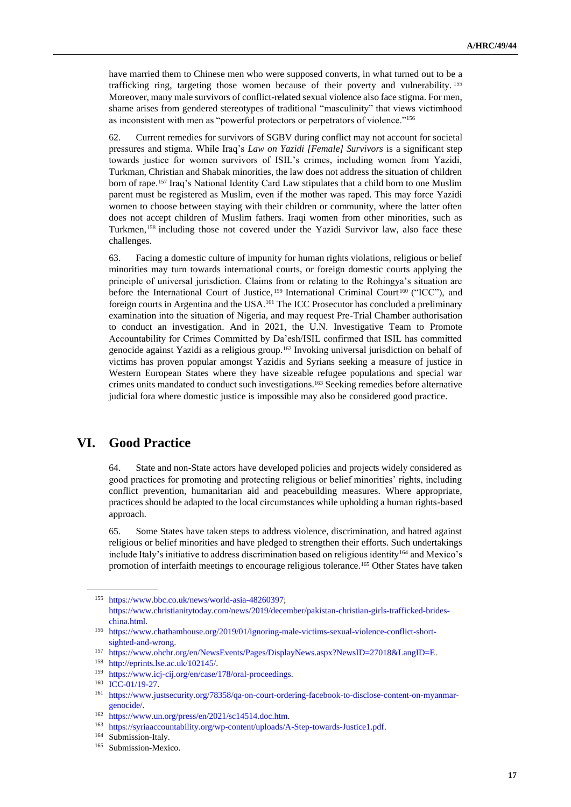have married them to Chinese men who were supposed converts, in what turned out to be a trafficking ring, targeting those women because of their poverty and vulnerability. <sup>155</sup> Moreover, many male survivors of conflict-related sexual violence also face stigma. For men, shame arises from gendered stereotypes of traditional "masculinity" that views victimhood as inconsistent with men as "powerful protectors or perpetrators of violence."<sup>156</sup>

62. Current remedies for survivors of SGBV during conflict may not account for societal pressures and stigma. While Iraq's *Law on Yazidi [Female] Survivors* is a significant step towards justice for women survivors of ISIL's crimes, including women from Yazidi, Turkman, Christian and Shabak minorities, the law does not address the situation of children born of rape.<sup>157</sup> Iraq's National Identity Card Law stipulates that a child born to one Muslim parent must be registered as Muslim, even if the mother was raped. This may force Yazidi women to choose between staying with their children or community, where the latter often does not accept children of Muslim fathers. Iraqi women from other minorities, such as Turkmen, <sup>158</sup> including those not covered under the Yazidi Survivor law, also face these challenges.

63. Facing a domestic culture of impunity for human rights violations, religious or belief minorities may turn towards international courts, or foreign domestic courts applying the principle of universal jurisdiction. Claims from or relating to the Rohingya's situation are before the International Court of Justice, <sup>159</sup> International Criminal Court <sup>160</sup> ("ICC"), and foreign courts in Argentina and the USA.<sup>161</sup> The ICC Prosecutor has concluded a preliminary examination into the situation of Nigeria, and may request Pre-Trial Chamber authorisation to conduct an investigation. And in 2021, the U.N. Investigative Team to Promote Accountability for Crimes Committed by Da'esh/ISIL confirmed that ISIL has committed genocide against Yazidi as a religious group.<sup>162</sup> Invoking universal jurisdiction on behalf of victims has proven popular amongst Yazidis and Syrians seeking a measure of justice in Western European States where they have sizeable refugee populations and special war crimes units mandated to conduct such investigations.<sup>163</sup> Seeking remedies before alternative judicial fora where domestic justice is impossible may also be considered good practice.

### **VI. Good Practice**

64. State and non-State actors have developed policies and projects widely considered as good practices for promoting and protecting religious or belief minorities' rights, including conflict prevention, humanitarian aid and peacebuilding measures. Where appropriate, practices should be adapted to the local circumstances while upholding a human rights-based approach.

65. Some States have taken steps to address violence, discrimination, and hatred against religious or belief minorities and have pledged to strengthen their efforts. Such undertakings include Italy's initiative to address discrimination based on religious identity<sup>164</sup> and Mexico's promotion of interfaith meetings to encourage religious tolerance.<sup>165</sup> Other States have taken

<sup>155</sup> [https://www.bbc.co.uk/news/world-asia-48260397;](https://www.bbc.co.uk/news/world-asia-48260397) [https://www.christianitytoday.com/news/2019/december/pakistan-christian-girls-trafficked-brides](https://www.christianitytoday.com/news/2019/december/pakistan-christian-girls-trafficked-brides-china.html)[china.html.](https://www.christianitytoday.com/news/2019/december/pakistan-christian-girls-trafficked-brides-china.html)

<sup>156</sup> [https://www.chathamhouse.org/2019/01/ignoring-male-victims-sexual-violence-conflict-short](https://www.chathamhouse.org/2019/01/ignoring-male-victims-sexual-violence-conflict-short-sighted-and-wrong)[sighted-and-wrong.](https://www.chathamhouse.org/2019/01/ignoring-male-victims-sexual-violence-conflict-short-sighted-and-wrong) 

<sup>157</sup> [https://www.ohchr.org/en/NewsEvents/Pages/DisplayNews.aspx?NewsID=27018&LangID=E.](https://www.ohchr.org/en/NewsEvents/Pages/DisplayNews.aspx?NewsID=27018&LangID=E)

<sup>158</sup> [http://eprints.lse.ac.uk/102145/.](http://eprints.lse.ac.uk/102145/)

<sup>159</sup> [https://www.icj-cij.org/en/case/178/oral-proceedings.](https://www.icj-cij.org/en/case/178/oral-proceedings) 

<sup>160</sup> [ICC-01/19-27.](https://www.icc-cpi.int/Pages/record.aspx?docNo=ICC-01/19-27)

<sup>161</sup> [https://www.justsecurity.org/78358/qa-on-court-ordering-facebook-to-disclose-content-on-myanmar](https://www.justsecurity.org/78358/qa-on-court-ordering-facebook-to-disclose-content-on-myanmar-genocide/)[genocide/.](https://www.justsecurity.org/78358/qa-on-court-ordering-facebook-to-disclose-content-on-myanmar-genocide/) 

<sup>162</sup> [https://www.un.org/press/en/2021/sc14514.doc.htm.](https://www.un.org/press/en/2021/sc14514.doc.htm)

<sup>163</sup> [https://syriaaccountability.org/wp-content/uploads/A-Step-towards-Justice1.pdf.](https://syriaaccountability.org/wp-content/uploads/A-Step-towards-Justice1.pdf)

<sup>164</sup> Submission-Italy.

<sup>165</sup> Submission-Mexico.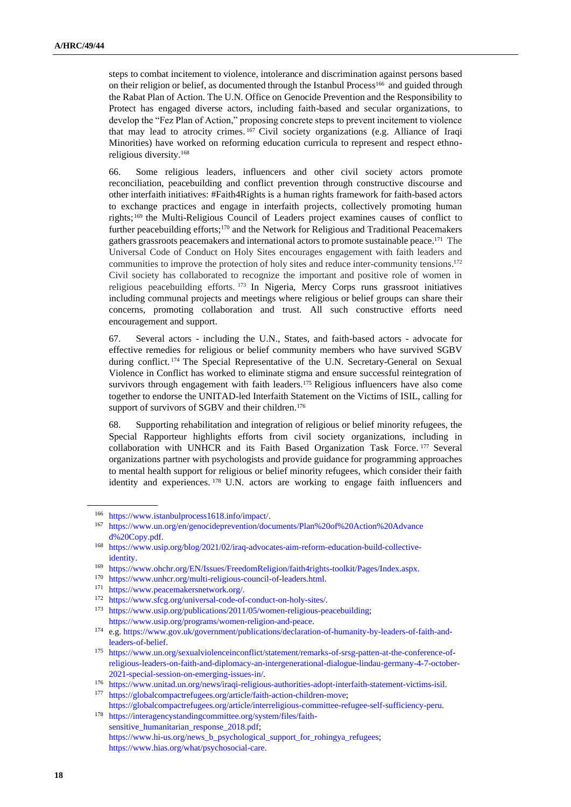steps to combat incitement to violence, intolerance and discrimination against persons based on their religion or belief, as documented through the Istanbul Process<sup>166</sup> and guided through the Rabat Plan of Action. The U.N. Office on Genocide Prevention and the Responsibility to Protect has engaged diverse actors, including faith-based and secular organizations, to develop the "Fez Plan of Action," proposing concrete steps to prevent incitement to violence that may lead to atrocity crimes. <sup>167</sup> Civil society organizations (e.g. Alliance of Iraqi Minorities) have worked on reforming education curricula to represent and respect ethnoreligious diversity.<sup>168</sup>

66. Some religious leaders, influencers and other civil society actors promote reconciliation, peacebuilding and conflict prevention through constructive discourse and other interfaith initiatives: #Faith4Rights is a human rights framework for faith-based actors to exchange practices and engage in interfaith projects, collectively promoting human rights;<sup>169</sup> the Multi-Religious Council of Leaders project examines causes of conflict to further peacebuilding efforts;<sup>170</sup> and the Network for Religious and Traditional Peacemakers gathers grassroots peacemakers and international actors to promote sustainable peace.<sup>171</sup> The Universal Code of Conduct on Holy Sites encourages engagement with faith leaders and communities to improve the protection of holy sites and reduce inter-community tensions.<sup>172</sup> Civil society has collaborated to recognize the important and positive role of women in religious peacebuilding efforts. <sup>173</sup> In Nigeria, Mercy Corps runs grassroot initiatives including communal projects and meetings where religious or belief groups can share their concerns, promoting collaboration and trust. All such constructive efforts need encouragement and support.

67. Several actors - including the U.N., States, and faith-based actors - advocate for effective remedies for religious or belief community members who have survived SGBV during conflict.<sup>174</sup> The Special Representative of the U.N. Secretary-General on Sexual Violence in Conflict has worked to eliminate stigma and ensure successful reintegration of survivors through engagement with faith leaders.<sup>175</sup> Religious influencers have also come together to endorse the UNITAD-led Interfaith Statement on the Victims of ISIL, calling for support of survivors of SGBV and their children.<sup>176</sup>

68. Supporting rehabilitation and integration of religious or belief minority refugees, the Special Rapporteur highlights efforts from civil society organizations, including in collaboration with UNHCR and its Faith Based Organization Task Force. <sup>177</sup> Several organizations partner with psychologists and provide guidance for programming approaches to mental health support for religious or belief minority refugees, which consider their faith identity and experiences. <sup>178</sup> U.N. actors are working to engage faith influencers and

<sup>166</sup> [https://www.istanbulprocess1618.info/impact/.](https://www.istanbulprocess1618.info/impact/)

<sup>167</sup> <https://www.un.org/en/genocideprevention/documents/Plan%20of%20Action%20Advance> [d%20Copy.pdf.](https://www.un.org/en/genocideprevention/documents/Plan%20of%20Action%20Advanced%20Copy.pdf)

<sup>168</sup> [https://www.usip.org/blog/2021/02/iraq-advocates-aim-reform-education-build-collective](https://www.usip.org/blog/2021/02/iraq-advocates-aim-reform-education-build-collective-)[identity.](https://www.usip.org/blog/2021/02/iraq-advocates-aim-reform-education-build-collective-identity)

<sup>169</sup> [https://www.ohchr.org/EN/Issues/FreedomReligion/faith4rights-toolkit/Pages/Index.aspx.](https://www.ohchr.org/EN/Issues/FreedomReligion/faith4rights-toolkit/Pages/Index.aspx)

<sup>170</sup> [https://www.unhcr.org/multi-religious-council-of-leaders.html.](https://www.unhcr.org/multi-religious-council-of-leaders.html)

<sup>171</sup> [https://www.peacemakersnetwork.org/.](https://www.peacemakersnetwork.org/)

<sup>172</sup> [https://www.sfcg.org/universal-code-of-conduct-on-holy-sites/.](https://www.sfcg.org/universal-code-of-conduct-on-holy-sites/)

<sup>173</sup> [https://www.usip.org/publications/2011/05/women-religious-peacebuilding;](https://www.usip.org/publications/2011/05/women-religious-peacebuilding) [https://www.usip.org/programs/women-religion-and-peace.](https://www.usip.org/programs/women-religion-and-peace)

<sup>174</sup> e.g[. https://www.gov.uk/government/publications/declaration-of-humanity-by-leaders-of-faith-and](https://www.gov.uk/government/publications/declaration-of-humanity-by-leaders-of-faith-and-leaders-of-belief)[leaders-of-belief.](https://www.gov.uk/government/publications/declaration-of-humanity-by-leaders-of-faith-and-leaders-of-belief)

<sup>175</sup> [https://www.un.org/sexualviolenceinconflict/statement/remarks-of-srsg-patten-at-the-conference-of](https://www.un.org/sexualviolenceinconflict/statement/remarks-of-srsg-patten-at-the-conference-of-religious-leaders-on-faith-and-diplomacy-an-intergenerational-dialogue-lindau-germany-4-7-october-2021-special-session-on-emerging-issues-in/)[religious-leaders-on-faith-and-diplomacy-an-intergenerational-dialogue-lindau-germany-4-7-october-](https://www.un.org/sexualviolenceinconflict/statement/remarks-of-srsg-patten-at-the-conference-of-religious-leaders-on-faith-and-diplomacy-an-intergenerational-dialogue-lindau-germany-4-7-october-2021-special-session-on-emerging-issues-in/)[2021-special-session-on-emerging-issues-in/.](https://www.un.org/sexualviolenceinconflict/statement/remarks-of-srsg-patten-at-the-conference-of-religious-leaders-on-faith-and-diplomacy-an-intergenerational-dialogue-lindau-germany-4-7-october-2021-special-session-on-emerging-issues-in/) 

<sup>176</sup> [https://www.unitad.un.org/news/iraqi-religious-authorities-adopt-interfaith-statement-victims-isil.](https://www.unitad.un.org/news/iraqi-religious-authorities-adopt-interfaith-statement-victims-isil)

<sup>177</sup> [https://globalcompactrefugees.org/article/faith-action-children-move;](https://globalcompactrefugees.org/article/faith-action-children-move) [https://globalcompactrefugees.org/article/interreligious-committee-refugee-self-sufficiency-peru.](https://globalcompactrefugees.org/article/interreligious-committee-refugee-self-sufficiency-peru)

<sup>178</sup> [https://interagencystandingcommittee.org/system/files/faith](https://interagencystandingcommittee.org/system/files/faith-sensitive_humanitarian_response_2018.pdf)[sensitive\\_humanitarian\\_response\\_2018.pdf;](https://interagencystandingcommittee.org/system/files/faith-sensitive_humanitarian_response_2018.pdf) [https://www.hi-us.org/news\\_b\\_psychological\\_support\\_for\\_rohingya\\_refugees;](https://www.hi-us.org/news_b_psychological_support_for_rohingya_refugees) [https://www.hias.org/what/psychosocial-care.](https://www.hias.org/what/psychosocial-care)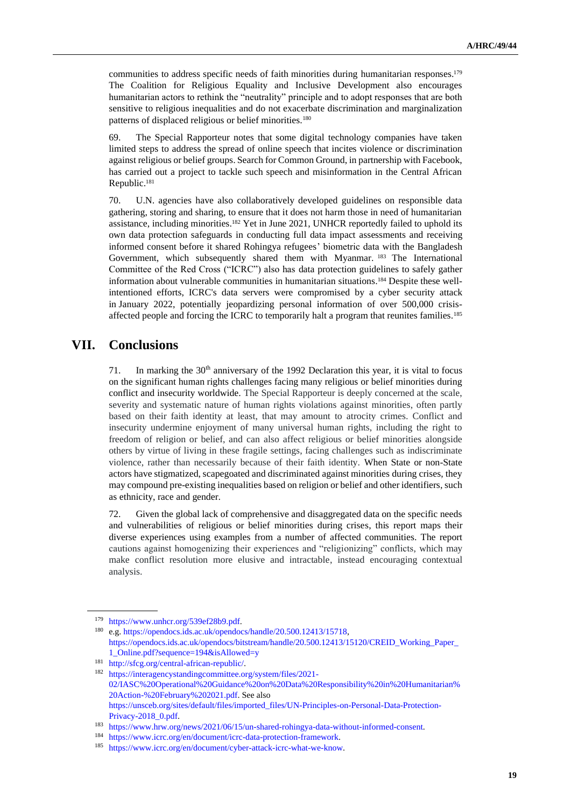communities to address specific needs of faith minorities during humanitarian responses.<sup>179</sup> The Coalition for Religious Equality and Inclusive Development also encourages humanitarian actors to rethink the "neutrality" principle and to adopt responses that are both sensitive to religious inequalities and do not exacerbate discrimination and marginalization patterns of displaced religious or belief minorities.<sup>180</sup>

69. The Special Rapporteur notes that some digital technology companies have taken limited steps to address the spread of online speech that incites violence or discrimination against religious or belief groups. Search for Common Ground, in partnership with Facebook, has carried out a project to tackle such speech and misinformation in the Central African Republic.<sup>181</sup>

70. U.N. agencies have also collaboratively developed guidelines on responsible data gathering, storing and sharing, to ensure that it does not harm those in need of humanitarian assistance, including minorities.<sup>182</sup> Yet in June 2021, UNHCR reportedly failed to uphold its own data protection safeguards in conducting full data impact assessments and receiving informed consent before it shared Rohingya refugees' biometric data with the Bangladesh Government, which subsequently shared them with Myanmar. <sup>183</sup> The International Committee of the Red Cross ("ICRC") also has data protection guidelines to safely gather information about vulnerable communities in humanitarian situations. <sup>184</sup> Despite these wellintentioned efforts, ICRC's data servers were compromised by a cyber security attack in January 2022, potentially jeopardizing personal information of over 500,000 crisisaffected people and forcing the ICRC to temporarily halt a program that reunites families.<sup>185</sup>

## **VII. Conclusions**

71. In marking the  $30<sup>th</sup>$  anniversary of the 1992 Declaration this year, it is vital to focus on the significant human rights challenges facing many religious or belief minorities during conflict and insecurity worldwide. The Special Rapporteur is deeply concerned at the scale, severity and systematic nature of human rights violations against minorities, often partly based on their faith identity at least, that may amount to atrocity crimes. Conflict and insecurity undermine enjoyment of many universal human rights, including the right to freedom of religion or belief, and can also affect religious or belief minorities alongside others by virtue of living in these fragile settings, facing challenges such as indiscriminate violence, rather than necessarily because of their faith identity. When State or non-State actors have stigmatized, scapegoated and discriminated against minorities during crises, they may compound pre-existing inequalities based on religion or belief and other identifiers, such as ethnicity, race and gender.

72. Given the global lack of comprehensive and disaggregated data on the specific needs and vulnerabilities of religious or belief minorities during crises, this report maps their diverse experiences using examples from a number of affected communities. The report cautions against homogenizing their experiences and "religionizing" conflicts, which may make conflict resolution more elusive and intractable, instead encouraging contextual analysis.

<sup>179</sup> [https://www.unhcr.org/539ef28b9.pdf.](https://www.unhcr.org/539ef28b9.pdf)

<sup>180</sup> e.g[. https://opendocs.ids.ac.uk/opendocs/handle/20.500.12413/15718,](https://opendocs.ids.ac.uk/opendocs/handle/20.500.12413/15718) [https://opendocs.ids.ac.uk/opendocs/bitstream/handle/20.500.12413/15120/CREID\\_Working\\_Paper\\_](https://opendocs.ids.ac.uk/opendocs/bitstream/handle/20.500.12413/15120/CREID_Working_Paper_1_Online.pdf?sequence=194&isAllowed=y) [1\\_Online.pdf?sequence=194&isAllowed=y](https://opendocs.ids.ac.uk/opendocs/bitstream/handle/20.500.12413/15120/CREID_Working_Paper_1_Online.pdf?sequence=194&isAllowed=y)

<sup>181</sup> [http://sfcg.org/central-african-republic/.](http://sfcg.org/central-african-republic/)

<sup>182</sup> [https://interagencystandingcommittee.org/system/files/2021-](https://interagencystandingcommittee.org/system/files/2021-02/IASC%20Operational%20Guidance%20on%20Data%20Responsibility%20in%20Humanitarian%20Action-%20February%202021.pdf) [02/IASC%20Operational%20Guidance%20on%20Data%20Responsibility%20in%20Humanitarian%](https://interagencystandingcommittee.org/system/files/2021-02/IASC%20Operational%20Guidance%20on%20Data%20Responsibility%20in%20Humanitarian%20Action-%20February%202021.pdf) [20Action-%20February%202021.pdf.](https://interagencystandingcommittee.org/system/files/2021-02/IASC%20Operational%20Guidance%20on%20Data%20Responsibility%20in%20Humanitarian%20Action-%20February%202021.pdf) See also [https://unsceb.org/sites/default/files/imported\\_files/UN-Principles-on-Personal-Data-Protection-](https://unsceb.org/sites/default/files/imported_files/UN-Principles-on-Personal-Data-Protection-Privacy-2018_0.pdf)[Privacy-2018\\_0.pdf.](https://unsceb.org/sites/default/files/imported_files/UN-Principles-on-Personal-Data-Protection-Privacy-2018_0.pdf)

<sup>183</sup> [https://www.hrw.org/news/2021/06/15/un-shared-rohingya-data-without-informed-consent.](https://www.hrw.org/news/2021/06/15/un-shared-rohingya-data-without-informed-consent)

<sup>184</sup> [https://www.icrc.org/en/document/icrc-data-protection-framework.](https://www.icrc.org/en/document/icrc-data-protection-framework)

<sup>185</sup> [https://www.icrc.org/en/document/cyber-attack-icrc-what-we-know.](https://www.icrc.org/en/document/cyber-attack-icrc-what-we-know)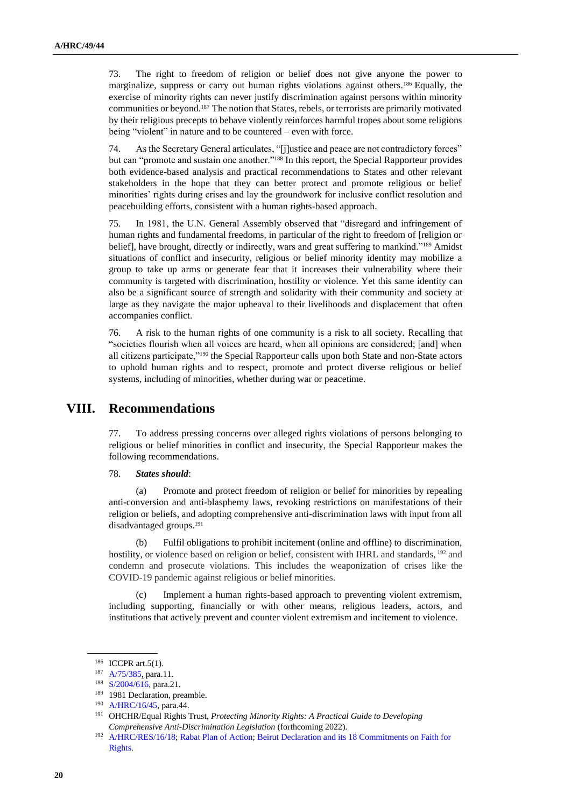73. The right to freedom of religion or belief does not give anyone the power to marginalize, suppress or carry out human rights violations against others. <sup>186</sup> Equally, the exercise of minority rights can never justify discrimination against persons within minority communities or beyond. <sup>187</sup> The notion that States, rebels, or terrorists are primarily motivated by their religious precepts to behave violently reinforces harmful tropes about some religions being "violent" in nature and to be countered – even with force.

74. As the Secretary General articulates, "[j]ustice and peace are not contradictory forces" but can "promote and sustain one another."<sup>188</sup> In this report, the Special Rapporteur provides both evidence-based analysis and practical recommendations to States and other relevant stakeholders in the hope that they can better protect and promote religious or belief minorities' rights during crises and lay the groundwork for inclusive conflict resolution and peacebuilding efforts, consistent with a human rights-based approach.

75. In 1981, the U.N. General Assembly observed that "disregard and infringement of human rights and fundamental freedoms, in particular of the right to freedom of [religion or belief], have brought, directly or indirectly, wars and great suffering to mankind."<sup>189</sup> Amidst situations of conflict and insecurity, religious or belief minority identity may mobilize a group to take up arms or generate fear that it increases their vulnerability where their community is targeted with discrimination, hostility or violence. Yet this same identity can also be a significant source of strength and solidarity with their community and society at large as they navigate the major upheaval to their livelihoods and displacement that often accompanies conflict.

76. A risk to the human rights of one community is a risk to all society. Recalling that "societies flourish when all voices are heard, when all opinions are considered; [and] when all citizens participate,"<sup>190</sup> the Special Rapporteur calls upon both State and non-State actors to uphold human rights and to respect, promote and protect diverse religious or belief systems, including of minorities, whether during war or peacetime.

## **VIII. Recommendations**

77. To address pressing concerns over alleged rights violations of persons belonging to religious or belief minorities in conflict and insecurity, the Special Rapporteur makes the following recommendations.

#### 78. *States should*:

(a) Promote and protect freedom of religion or belief for minorities by repealing anti-conversion and anti-blasphemy laws, revoking restrictions on manifestations of their religion or beliefs, and adopting comprehensive anti-discrimination laws with input from all disadvantaged groups.<sup>191</sup>

(b) Fulfil obligations to prohibit incitement (online and offline) to discrimination, hostility, or violence based on religion or belief, consistent with IHRL and standards, <sup>192</sup> and condemn and prosecute violations. This includes the weaponization of crises like the COVID-19 pandemic against religious or belief minorities.

Implement a human rights-based approach to preventing violent extremism, including supporting, financially or with other means, religious leaders, actors, and institutions that actively prevent and counter violent extremism and incitement to violence.

<sup>&</sup>lt;sup>186</sup> ICCPR art.5(1).

<sup>187</sup> [A/75/385,](https://undocs.org/A/75/385) para.11.

<sup>188</sup> [S/2004/616,](https://undocs.org/Home/Mobile?FinalSymbol=S%2F2004%2F616&Language=E&DeviceType=Desktop) para.21.

<sup>189</sup> 1981 Declaration, preamble.

<sup>190</sup> [A/HRC/16/45,](http://undocs.org/A/HRC/16/45) para.44.

<sup>191</sup> OHCHR/Equal Rights Trust, *Protecting Minority Rights: A Practical Guide to Developing Comprehensive Anti-Discrimination Legislation* (forthcoming 2022).

<sup>192</sup> [A/HRC/RES/16/18;](http://undocs.org/A/HRC/RES/16/18) [Rabat Plan of Action;](http://a/HRC/22/17/Add.4) [Beirut Declaration and its 18 Commitments on Faith for](https://www.ohchr.org/Documents/Press/Faith4Rights.pdf)  [Rights.](https://www.ohchr.org/Documents/Press/Faith4Rights.pdf)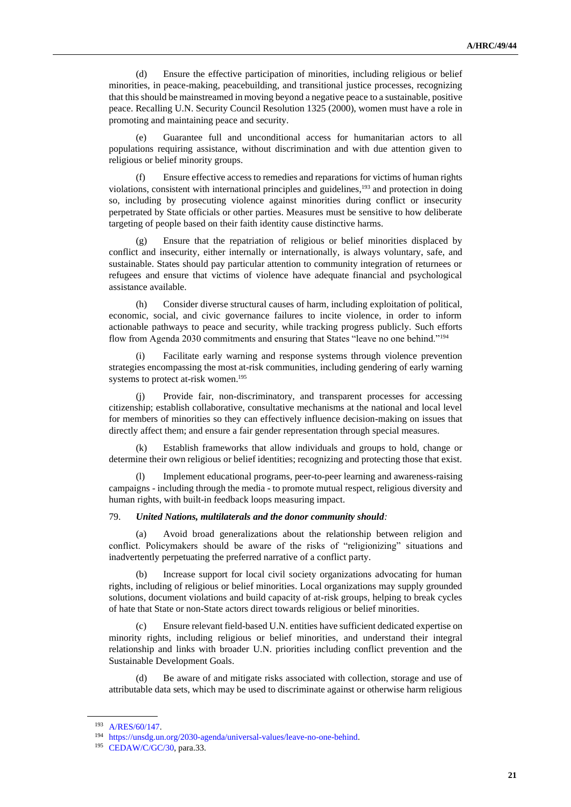(d) Ensure the effective participation of minorities, including religious or belief minorities, in peace-making, peacebuilding, and transitional justice processes, recognizing that this should be mainstreamed in moving beyond a negative peace to a sustainable, positive peace. Recalling U.N. Security Council Resolution 1325 (2000), women must have a role in promoting and maintaining peace and security.

(e) Guarantee full and unconditional access for humanitarian actors to all populations requiring assistance, without discrimination and with due attention given to religious or belief minority groups.

(f) Ensure effective access to remedies and reparations for victims of human rights violations, consistent with international principles and guidelines,<sup>193</sup> and protection in doing so, including by prosecuting violence against minorities during conflict or insecurity perpetrated by State officials or other parties. Measures must be sensitive to how deliberate targeting of people based on their faith identity cause distinctive harms.

(g) Ensure that the repatriation of religious or belief minorities displaced by conflict and insecurity, either internally or internationally, is always voluntary, safe, and sustainable. States should pay particular attention to community integration of returnees or refugees and ensure that victims of violence have adequate financial and psychological assistance available.

(h) Consider diverse structural causes of harm, including exploitation of political, economic, social, and civic governance failures to incite violence, in order to inform actionable pathways to peace and security, while tracking progress publicly. Such efforts flow from Agenda 2030 commitments and ensuring that States "leave no one behind."<sup>194</sup>

(i) Facilitate early warning and response systems through violence prevention strategies encompassing the most at-risk communities, including gendering of early warning systems to protect at-risk women.<sup>195</sup>

(j) Provide fair, non-discriminatory, and transparent processes for accessing citizenship; establish collaborative, consultative mechanisms at the national and local level for members of minorities so they can effectively influence decision-making on issues that directly affect them; and ensure a fair gender representation through special measures.

(k) Establish frameworks that allow individuals and groups to hold, change or determine their own religious or belief identities; recognizing and protecting those that exist.

(l) Implement educational programs, peer-to-peer learning and awareness-raising campaigns - including through the media - to promote mutual respect, religious diversity and human rights, with built-in feedback loops measuring impact.

#### 79. *United Nations, multilaterals and the donor community should:*

Avoid broad generalizations about the relationship between religion and conflict. Policymakers should be aware of the risks of "religionizing" situations and inadvertently perpetuating the preferred narrative of a conflict party.

(b) Increase support for local civil society organizations advocating for human rights, including of religious or belief minorities. Local organizations may supply grounded solutions, document violations and build capacity of at-risk groups, helping to break cycles of hate that State or non-State actors direct towards religious or belief minorities.

(c) Ensure relevant field-based U.N. entities have sufficient dedicated expertise on minority rights, including religious or belief minorities, and understand their integral relationship and links with broader U.N. priorities including conflict prevention and the Sustainable Development Goals.

(d) Be aware of and mitigate risks associated with collection, storage and use of attributable data sets, which may be used to discriminate against or otherwise harm religious

<sup>193</sup> [A/RES/60/147.](http://undocs.org/A/RES/60/147) 

<sup>194</sup> [https://unsdg.un.org/2030-agenda/universal-values/leave-no-one-behind.](https://unsdg.un.org/2030-agenda/universal-values/leave-no-one-behind)

<sup>195</sup> [CEDAW/C/GC/30,](http://undocs.org/CEDAW/C/GC/30) para.33.